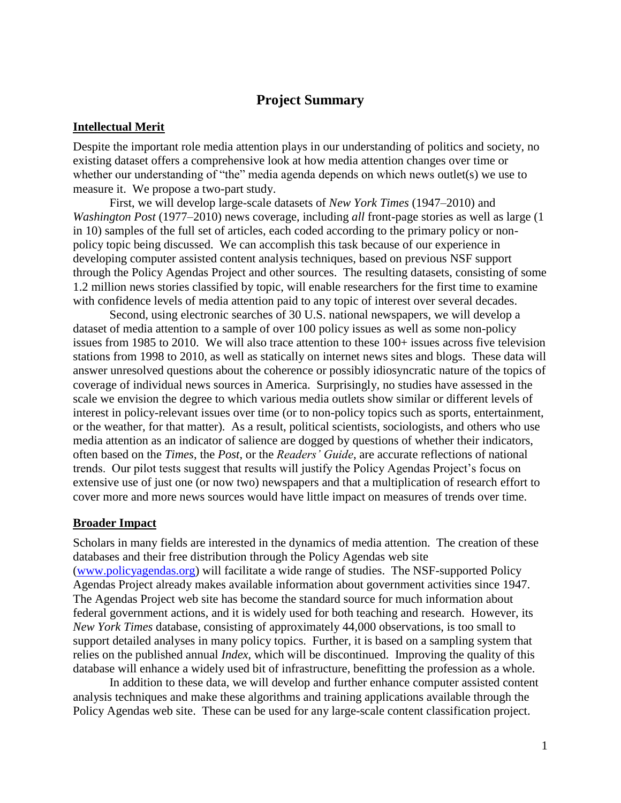# **Project Summary**

#### **Intellectual Merit**

Despite the important role media attention plays in our understanding of politics and society, no existing dataset offers a comprehensive look at how media attention changes over time or whether our understanding of "the" media agenda depends on which news outlet(s) we use to measure it. We propose a two-part study.

First, we will develop large-scale datasets of *New York Times* (1947–2010) and *Washington Post* (1977–2010) news coverage, including *all* front-page stories as well as large (1 in 10) samples of the full set of articles, each coded according to the primary policy or nonpolicy topic being discussed. We can accomplish this task because of our experience in developing computer assisted content analysis techniques, based on previous NSF support through the Policy Agendas Project and other sources. The resulting datasets, consisting of some 1.2 million news stories classified by topic, will enable researchers for the first time to examine with confidence levels of media attention paid to any topic of interest over several decades.

Second, using electronic searches of 30 U.S. national newspapers, we will develop a dataset of media attention to a sample of over 100 policy issues as well as some non-policy issues from 1985 to 2010. We will also trace attention to these 100+ issues across five television stations from 1998 to 2010, as well as statically on internet news sites and blogs. These data will answer unresolved questions about the coherence or possibly idiosyncratic nature of the topics of coverage of individual news sources in America. Surprisingly, no studies have assessed in the scale we envision the degree to which various media outlets show similar or different levels of interest in policy-relevant issues over time (or to non-policy topics such as sports, entertainment, or the weather, for that matter). As a result, political scientists, sociologists, and others who use media attention as an indicator of salience are dogged by questions of whether their indicators, often based on the *Times*, the *Post*, or the *Readers' Guide*, are accurate reflections of national trends. Our pilot tests suggest that results will justify the Policy Agendas Project's focus on extensive use of just one (or now two) newspapers and that a multiplication of research effort to cover more and more news sources would have little impact on measures of trends over time.

#### **Broader Impact**

Scholars in many fields are interested in the dynamics of media attention. The creation of these databases and their free distribution through the Policy Agendas web site [\(www.policyagendas.org\)](http://www.policyagendas.org/) will facilitate a wide range of studies. The NSF-supported Policy Agendas Project already makes available information about government activities since 1947. The Agendas Project web site has become the standard source for much information about federal government actions, and it is widely used for both teaching and research. However, its *New York Times* database, consisting of approximately 44,000 observations, is too small to support detailed analyses in many policy topics. Further, it is based on a sampling system that relies on the published annual *Index*, which will be discontinued. Improving the quality of this database will enhance a widely used bit of infrastructure, benefitting the profession as a whole.

In addition to these data, we will develop and further enhance computer assisted content analysis techniques and make these algorithms and training applications available through the Policy Agendas web site. These can be used for any large-scale content classification project.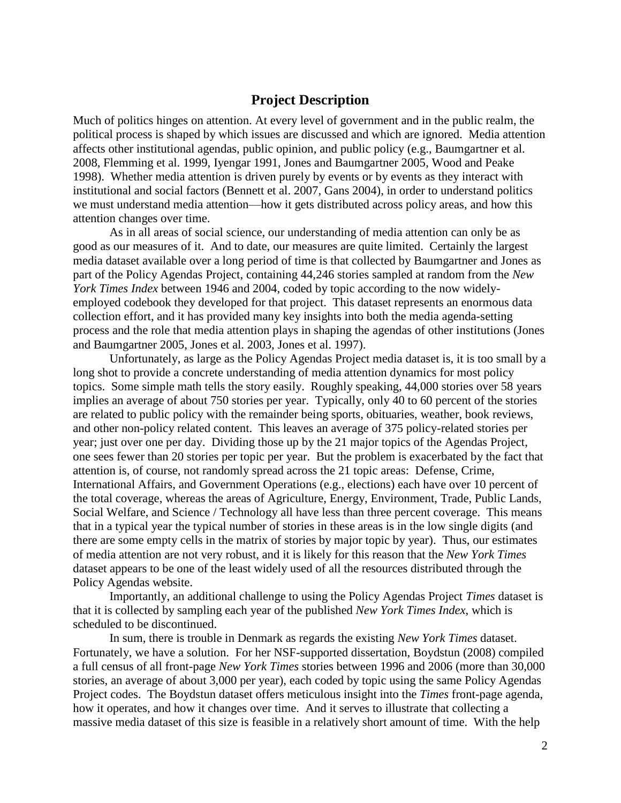## **Project Description**

Much of politics hinges on attention. At every level of government and in the public realm, the political process is shaped by which issues are discussed and which are ignored. Media attention affects other institutional agendas, public opinion, and public policy (e.g., Baumgartner et al. 2008, Flemming et al. 1999, Iyengar 1991, Jones and Baumgartner 2005, Wood and Peake 1998). Whether media attention is driven purely by events or by events as they interact with institutional and social factors (Bennett et al. 2007, Gans 2004), in order to understand politics we must understand media attention—how it gets distributed across policy areas, and how this attention changes over time.

As in all areas of social science, our understanding of media attention can only be as good as our measures of it. And to date, our measures are quite limited. Certainly the largest media dataset available over a long period of time is that collected by Baumgartner and Jones as part of the Policy Agendas Project, containing 44,246 stories sampled at random from the *New York Times Index* between 1946 and 2004, coded by topic according to the now widelyemployed codebook they developed for that project. This dataset represents an enormous data collection effort, and it has provided many key insights into both the media agenda-setting process and the role that media attention plays in shaping the agendas of other institutions (Jones and Baumgartner 2005, Jones et al. 2003, Jones et al. 1997).

Unfortunately, as large as the Policy Agendas Project media dataset is, it is too small by a long shot to provide a concrete understanding of media attention dynamics for most policy topics. Some simple math tells the story easily. Roughly speaking, 44,000 stories over 58 years implies an average of about 750 stories per year. Typically, only 40 to 60 percent of the stories are related to public policy with the remainder being sports, obituaries, weather, book reviews, and other non-policy related content. This leaves an average of 375 policy-related stories per year; just over one per day. Dividing those up by the 21 major topics of the Agendas Project, one sees fewer than 20 stories per topic per year. But the problem is exacerbated by the fact that attention is, of course, not randomly spread across the 21 topic areas: Defense, Crime, International Affairs, and Government Operations (e.g., elections) each have over 10 percent of the total coverage, whereas the areas of Agriculture, Energy, Environment, Trade, Public Lands, Social Welfare, and Science / Technology all have less than three percent coverage. This means that in a typical year the typical number of stories in these areas is in the low single digits (and there are some empty cells in the matrix of stories by major topic by year). Thus, our estimates of media attention are not very robust, and it is likely for this reason that the *New York Times* dataset appears to be one of the least widely used of all the resources distributed through the Policy Agendas website.

Importantly, an additional challenge to using the Policy Agendas Project *Times* dataset is that it is collected by sampling each year of the published *New York Times Index*, which is scheduled to be discontinued.

In sum, there is trouble in Denmark as regards the existing *New York Times* dataset. Fortunately, we have a solution. For her NSF-supported dissertation, Boydstun (2008) compiled a full census of all front-page *New York Times* stories between 1996 and 2006 (more than 30,000 stories, an average of about 3,000 per year), each coded by topic using the same Policy Agendas Project codes. The Boydstun dataset offers meticulous insight into the *Times* front-page agenda, how it operates, and how it changes over time. And it serves to illustrate that collecting a massive media dataset of this size is feasible in a relatively short amount of time. With the help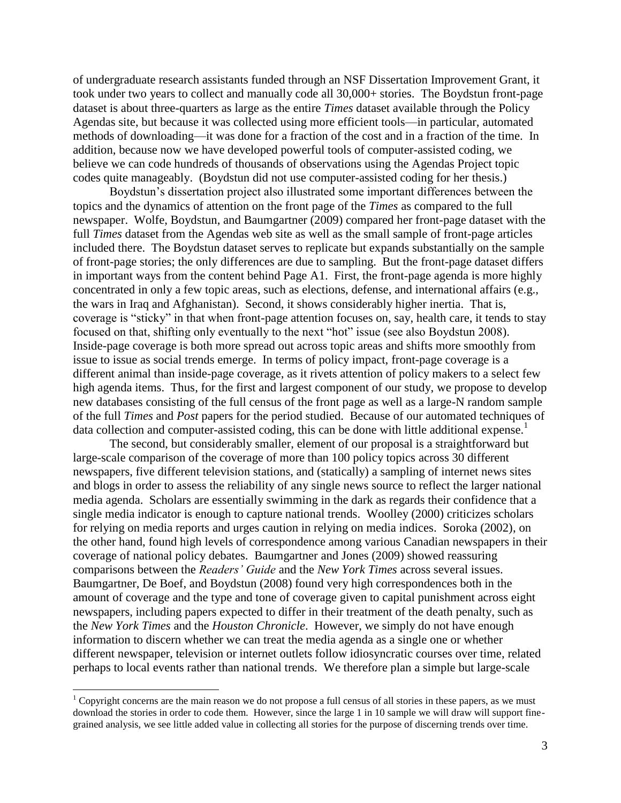of undergraduate research assistants funded through an NSF Dissertation Improvement Grant, it took under two years to collect and manually code all 30,000+ stories. The Boydstun front-page dataset is about three-quarters as large as the entire *Times* dataset available through the Policy Agendas site, but because it was collected using more efficient tools—in particular, automated methods of downloading—it was done for a fraction of the cost and in a fraction of the time. In addition, because now we have developed powerful tools of computer-assisted coding, we believe we can code hundreds of thousands of observations using the Agendas Project topic codes quite manageably. (Boydstun did not use computer-assisted coding for her thesis.)

Boydstun's dissertation project also illustrated some important differences between the topics and the dynamics of attention on the front page of the *Times* as compared to the full newspaper. Wolfe, Boydstun, and Baumgartner (2009) compared her front-page dataset with the full *Times* dataset from the Agendas web site as well as the small sample of front-page articles included there. The Boydstun dataset serves to replicate but expands substantially on the sample of front-page stories; the only differences are due to sampling. But the front-page dataset differs in important ways from the content behind Page A1. First, the front-page agenda is more highly concentrated in only a few topic areas, such as elections, defense, and international affairs (e.g., the wars in Iraq and Afghanistan). Second, it shows considerably higher inertia. That is, coverage is "sticky" in that when front-page attention focuses on, say, health care, it tends to stay focused on that, shifting only eventually to the next "hot" issue (see also Boydstun 2008). Inside-page coverage is both more spread out across topic areas and shifts more smoothly from issue to issue as social trends emerge. In terms of policy impact, front-page coverage is a different animal than inside-page coverage, as it rivets attention of policy makers to a select few high agenda items. Thus, for the first and largest component of our study, we propose to develop new databases consisting of the full census of the front page as well as a large-N random sample of the full *Times* and *Post* papers for the period studied. Because of our automated techniques of data collection and computer-assisted coding, this can be done with little additional expense.<sup>1</sup>

The second, but considerably smaller, element of our proposal is a straightforward but large-scale comparison of the coverage of more than 100 policy topics across 30 different newspapers, five different television stations, and (statically) a sampling of internet news sites and blogs in order to assess the reliability of any single news source to reflect the larger national media agenda. Scholars are essentially swimming in the dark as regards their confidence that a single media indicator is enough to capture national trends. Woolley (2000) criticizes scholars for relying on media reports and urges caution in relying on media indices. Soroka (2002), on the other hand, found high levels of correspondence among various Canadian newspapers in their coverage of national policy debates. Baumgartner and Jones (2009) showed reassuring comparisons between the *Readers' Guide* and the *New York Times* across several issues. Baumgartner, De Boef, and Boydstun (2008) found very high correspondences both in the amount of coverage and the type and tone of coverage given to capital punishment across eight newspapers, including papers expected to differ in their treatment of the death penalty, such as the *New York Times* and the *Houston Chronicle*. However, we simply do not have enough information to discern whether we can treat the media agenda as a single one or whether different newspaper, television or internet outlets follow idiosyncratic courses over time, related perhaps to local events rather than national trends. We therefore plan a simple but large-scale

 $\overline{\phantom{a}}$ 

<sup>&</sup>lt;sup>1</sup> Copyright concerns are the main reason we do not propose a full census of all stories in these papers, as we must download the stories in order to code them. However, since the large 1 in 10 sample we will draw will support finegrained analysis, we see little added value in collecting all stories for the purpose of discerning trends over time.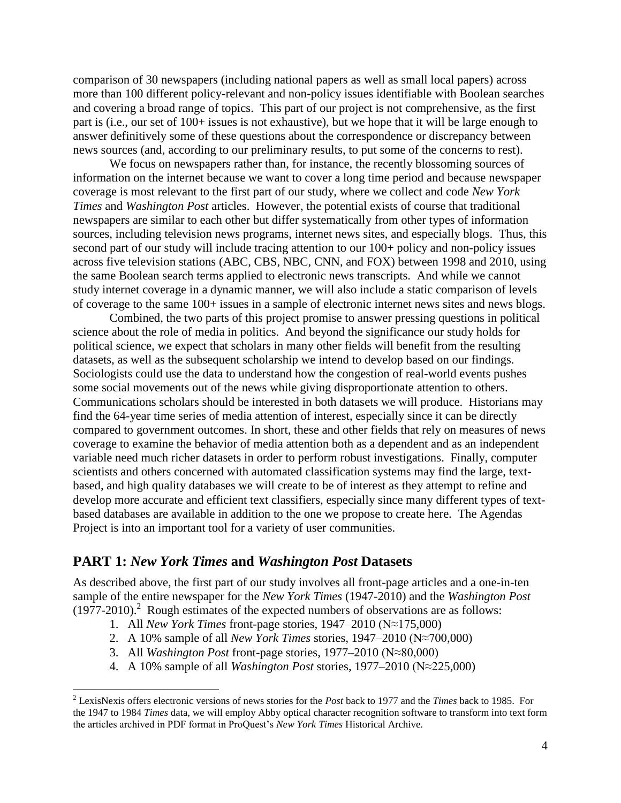comparison of 30 newspapers (including national papers as well as small local papers) across more than 100 different policy-relevant and non-policy issues identifiable with Boolean searches and covering a broad range of topics. This part of our project is not comprehensive, as the first part is (i.e., our set of 100+ issues is not exhaustive), but we hope that it will be large enough to answer definitively some of these questions about the correspondence or discrepancy between news sources (and, according to our preliminary results, to put some of the concerns to rest).

We focus on newspapers rather than, for instance, the recently blossoming sources of information on the internet because we want to cover a long time period and because newspaper coverage is most relevant to the first part of our study, where we collect and code *New York Times* and *Washington Post* articles. However, the potential exists of course that traditional newspapers are similar to each other but differ systematically from other types of information sources, including television news programs, internet news sites, and especially blogs. Thus, this second part of our study will include tracing attention to our 100+ policy and non-policy issues across five television stations (ABC, CBS, NBC, CNN, and FOX) between 1998 and 2010, using the same Boolean search terms applied to electronic news transcripts. And while we cannot study internet coverage in a dynamic manner, we will also include a static comparison of levels of coverage to the same 100+ issues in a sample of electronic internet news sites and news blogs.

Combined, the two parts of this project promise to answer pressing questions in political science about the role of media in politics. And beyond the significance our study holds for political science, we expect that scholars in many other fields will benefit from the resulting datasets, as well as the subsequent scholarship we intend to develop based on our findings. Sociologists could use the data to understand how the congestion of real-world events pushes some social movements out of the news while giving disproportionate attention to others. Communications scholars should be interested in both datasets we will produce. Historians may find the 64-year time series of media attention of interest, especially since it can be directly compared to government outcomes. In short, these and other fields that rely on measures of news coverage to examine the behavior of media attention both as a dependent and as an independent variable need much richer datasets in order to perform robust investigations. Finally, computer scientists and others concerned with automated classification systems may find the large, textbased, and high quality databases we will create to be of interest as they attempt to refine and develop more accurate and efficient text classifiers, especially since many different types of textbased databases are available in addition to the one we propose to create here. The Agendas Project is into an important tool for a variety of user communities.

## **PART 1:** *New York Times* **and** *Washington Post* **Datasets**

 $\overline{\phantom{a}}$ 

As described above, the first part of our study involves all front-page articles and a one-in-ten sample of the entire newspaper for the *New York Times* (1947-2010) and the *Washington Post*  $(1977-2010)$ .<sup>2</sup> Rough estimates of the expected numbers of observations are as follows:

- 1. All *New York Times* front-page stories, 1947–2010 (N≈175,000)
- 2. A 10% sample of all *New York Times* stories, 1947–2010 (N≈700,000)
- 3. All *Washington Post* front-page stories, 1977–2010 (N≈80,000)
- 4. A 10% sample of all *Washington Post* stories, 1977–2010 (N≈225,000)

<sup>2</sup> LexisNexis offers electronic versions of news stories for the *Post* back to 1977 and the *Times* back to 1985. For the 1947 to 1984 *Times* data, we will employ Abby optical character recognition software to transform into text form the articles archived in PDF format in ProQuest's *New York Times* Historical Archive.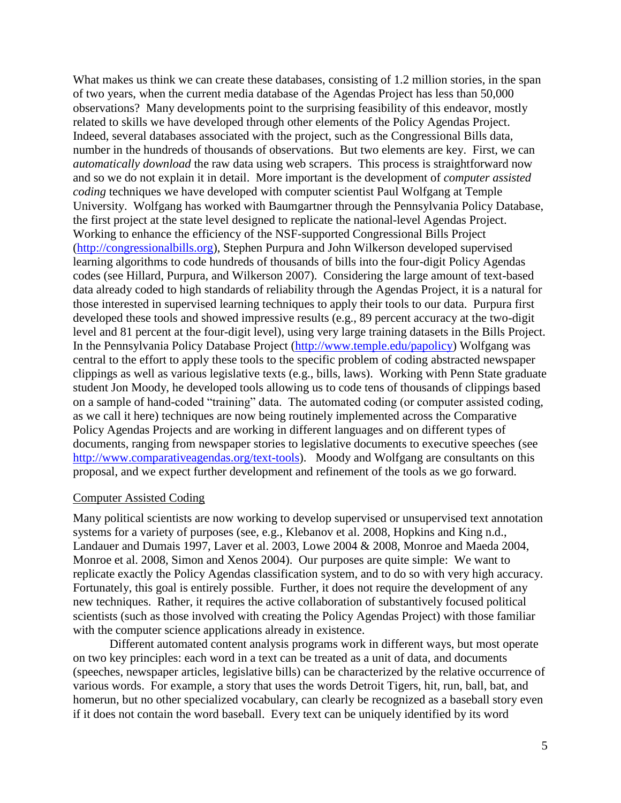What makes us think we can create these databases, consisting of 1.2 million stories, in the span of two years, when the current media database of the Agendas Project has less than 50,000 observations? Many developments point to the surprising feasibility of this endeavor, mostly related to skills we have developed through other elements of the Policy Agendas Project. Indeed, several databases associated with the project, such as the Congressional Bills data, number in the hundreds of thousands of observations. But two elements are key. First, we can *automatically download* the raw data using web scrapers. This process is straightforward now and so we do not explain it in detail. More important is the development of *computer assisted coding* techniques we have developed with computer scientist Paul Wolfgang at Temple University. Wolfgang has worked with Baumgartner through the Pennsylvania Policy Database, the first project at the state level designed to replicate the national-level Agendas Project. Working to enhance the efficiency of the NSF-supported Congressional Bills Project [\(http://congressionalbills.org\)](http://congressionalbills.org/), Stephen Purpura and John Wilkerson developed supervised learning algorithms to code hundreds of thousands of bills into the four-digit Policy Agendas codes (see Hillard, Purpura, and Wilkerson 2007). Considering the large amount of text-based data already coded to high standards of reliability through the Agendas Project, it is a natural for those interested in supervised learning techniques to apply their tools to our data. Purpura first developed these tools and showed impressive results (e.g., 89 percent accuracy at the two-digit level and 81 percent at the four-digit level), using very large training datasets in the Bills Project. In the Pennsylvania Policy Database Project [\(http://www.temple.edu/papolicy\)](http://www.temple.edu/papolicy) Wolfgang was central to the effort to apply these tools to the specific problem of coding abstracted newspaper clippings as well as various legislative texts (e.g., bills, laws). Working with Penn State graduate student Jon Moody, he developed tools allowing us to code tens of thousands of clippings based on a sample of hand-coded "training" data. The automated coding (or computer assisted coding, as we call it here) techniques are now being routinely implemented across the Comparative Policy Agendas Projects and are working in different languages and on different types of documents, ranging from newspaper stories to legislative documents to executive speeches (see [http://www.comparativeagendas.org/text-tools\)](http://www.comparativeagendas.org/text-tools). Moody and Wolfgang are consultants on this proposal, and we expect further development and refinement of the tools as we go forward.

#### Computer Assisted Coding

Many political scientists are now working to develop supervised or unsupervised text annotation systems for a variety of purposes (see, e.g., Klebanov et al. 2008, Hopkins and King n.d., Landauer and Dumais 1997, Laver et al. 2003, Lowe 2004 & 2008, Monroe and Maeda 2004, Monroe et al. 2008, Simon and Xenos 2004). Our purposes are quite simple: We want to replicate exactly the Policy Agendas classification system, and to do so with very high accuracy. Fortunately, this goal is entirely possible. Further, it does not require the development of any new techniques. Rather, it requires the active collaboration of substantively focused political scientists (such as those involved with creating the Policy Agendas Project) with those familiar with the computer science applications already in existence.

Different automated content analysis programs work in different ways, but most operate on two key principles: each word in a text can be treated as a unit of data, and documents (speeches, newspaper articles, legislative bills) can be characterized by the relative occurrence of various words. For example, a story that uses the words Detroit Tigers, hit, run, ball, bat, and homerun, but no other specialized vocabulary, can clearly be recognized as a baseball story even if it does not contain the word baseball. Every text can be uniquely identified by its word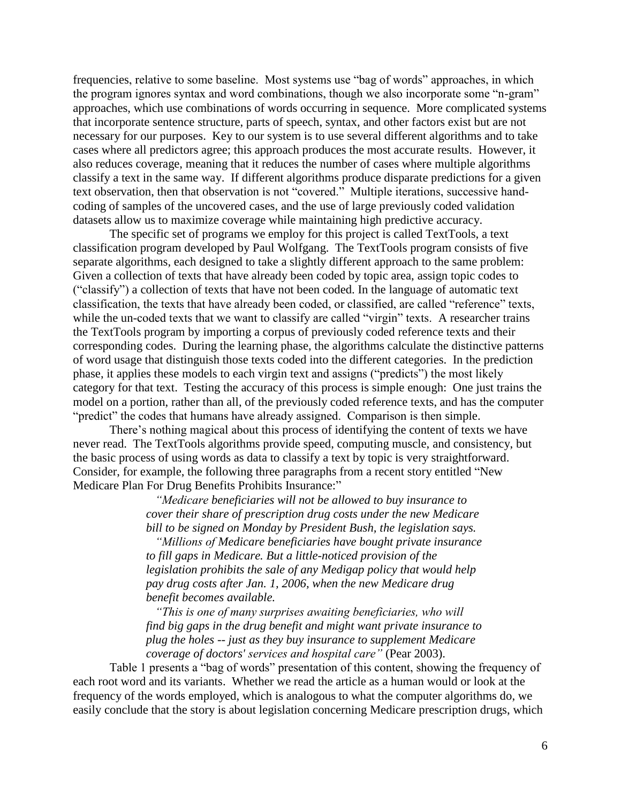frequencies, relative to some baseline. Most systems use "bag of words" approaches, in which the program ignores syntax and word combinations, though we also incorporate some "n-gram" approaches, which use combinations of words occurring in sequence. More complicated systems that incorporate sentence structure, parts of speech, syntax, and other factors exist but are not necessary for our purposes. Key to our system is to use several different algorithms and to take cases where all predictors agree; this approach produces the most accurate results. However, it also reduces coverage, meaning that it reduces the number of cases where multiple algorithms classify a text in the same way. If different algorithms produce disparate predictions for a given text observation, then that observation is not "covered." Multiple iterations, successive handcoding of samples of the uncovered cases, and the use of large previously coded validation datasets allow us to maximize coverage while maintaining high predictive accuracy.

The specific set of programs we employ for this project is called TextTools, a text classification program developed by Paul Wolfgang. The TextTools program consists of five separate algorithms, each designed to take a slightly different approach to the same problem: Given a collection of texts that have already been coded by topic area, assign topic codes to (―classify‖) a collection of texts that have not been coded. In the language of automatic text classification, the texts that have already been coded, or classified, are called "reference" texts, while the un-coded texts that we want to classify are called "virgin" texts. A researcher trains the TextTools program by importing a corpus of previously coded reference texts and their corresponding codes. During the learning phase, the algorithms calculate the distinctive patterns of word usage that distinguish those texts coded into the different categories. In the prediction phase, it applies these models to each virgin text and assigns ("predicts") the most likely category for that text. Testing the accuracy of this process is simple enough: One just trains the model on a portion, rather than all, of the previously coded reference texts, and has the computer "predict" the codes that humans have already assigned. Comparison is then simple.

There's nothing magical about this process of identifying the content of texts we have never read. The TextTools algorithms provide speed, computing muscle, and consistency, but the basic process of using words as data to classify a text by topic is very straightforward. Consider, for example, the following three paragraphs from a recent story entitled "New Medicare Plan For Drug Benefits Prohibits Insurance:"

> *"Medicare beneficiaries will not be allowed to buy insurance to cover their share of prescription drug costs under the new Medicare bill to be signed on Monday by President Bush, the legislation says.*

> *"Millions of Medicare beneficiaries have bought private insurance to fill gaps in Medicare. But a little-noticed provision of the legislation prohibits the sale of any Medigap policy that would help pay drug costs after Jan. 1, 2006, when the new Medicare drug benefit becomes available.*

> *"This is one of many surprises awaiting beneficiaries, who will find big gaps in the drug benefit and might want private insurance to plug the holes -- just as they buy insurance to supplement Medicare coverage of doctors' services and hospital care"* (Pear 2003).

Table 1 presents a "bag of words" presentation of this content, showing the frequency of each root word and its variants. Whether we read the article as a human would or look at the frequency of the words employed, which is analogous to what the computer algorithms do, we easily conclude that the story is about legislation concerning Medicare prescription drugs, which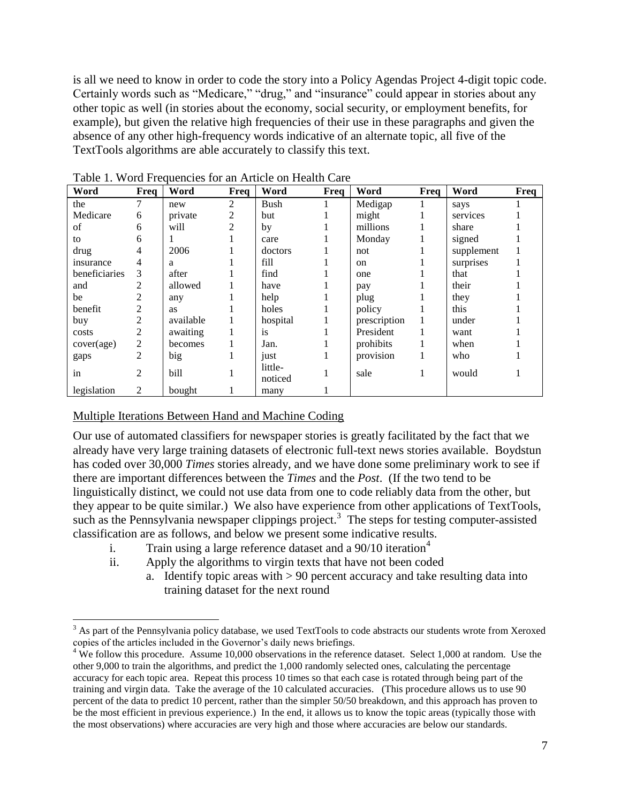is all we need to know in order to code the story into a Policy Agendas Project 4-digit topic code. Certainly words such as "Medicare," "drug," and "insurance" could appear in stories about any other topic as well (in stories about the economy, social security, or employment benefits, for example), but given the relative high frequencies of their use in these paragraphs and given the absence of any other high-frequency words indicative of an alternate topic, all five of the TextTools algorithms are able accurately to classify this text.

| Word          | Freq           | Word      | Freq | Word               | Freq | Word          | Freq | Word       | Freq |
|---------------|----------------|-----------|------|--------------------|------|---------------|------|------------|------|
| the           |                | new       | 2    | Bush               |      | Medigap       |      | says       |      |
| Medicare      | 6              | private   | 2    | but                |      | might         |      | services   |      |
| of            | 6              | will      | 2    | by                 |      | millions      |      | share      |      |
| to            | 6              |           |      | care               |      | Monday        |      | signed     |      |
| drug          | 4              | 2006      |      | doctors            |      | not           |      | supplement |      |
| insurance     | 4              | a         |      | fill               |      | <sub>on</sub> |      | surprises  |      |
| beneficiaries | 3              | after     |      | find               |      | one           |      | that       |      |
| and           | 2              | allowed   |      | have               |      | pay           |      | their      |      |
| be            | $\overline{c}$ | any       |      | help               |      | plug          |      | they       |      |
| benefit       | 2              | <b>as</b> |      | holes              |      | policy        |      | this       |      |
| buy           | 2              | available |      | hospital           |      | prescription  | 1    | under      |      |
| costs         | 2              | awaiting  |      | <i>is</i>          |      | President     | 1    | want       |      |
| cover(age)    | $\mathfrak{2}$ | becomes   |      | Jan.               |      | prohibits     |      | when       |      |
| gaps          | $\overline{2}$ | big       |      | just               |      | provision     |      | who        |      |
| in            | $\overline{2}$ | bill      |      | little-<br>noticed |      | sale          |      | would      |      |
| legislation   | $\overline{2}$ | bought    |      | many               |      |               |      |            |      |

Table 1. Word Frequencies for an Article on Health Care

## Multiple Iterations Between Hand and Machine Coding

 $\overline{\phantom{a}}$ 

Our use of automated classifiers for newspaper stories is greatly facilitated by the fact that we already have very large training datasets of electronic full-text news stories available. Boydstun has coded over 30,000 *Times* stories already, and we have done some preliminary work to see if there are important differences between the *Times* and the *Post*. (If the two tend to be linguistically distinct, we could not use data from one to code reliably data from the other, but they appear to be quite similar.) We also have experience from other applications of TextTools, such as the Pennsylvania newspaper clippings project.<sup>3</sup> The steps for testing computer-assisted classification are as follows, and below we present some indicative results.

- i. Train using a large reference dataset and a  $90/10$  iteration<sup>4</sup>
- ii. Apply the algorithms to virgin texts that have not been coded
	- a. Identify topic areas with  $> 90$  percent accuracy and take resulting data into training dataset for the next round

 $3$  As part of the Pennsylvania policy database, we used TextTools to code abstracts our students wrote from Xeroxed copies of the articles included in the Governor's daily news briefings.

 $4$  We follow this procedure. Assume 10,000 observations in the reference dataset. Select 1,000 at random. Use the other 9,000 to train the algorithms, and predict the 1,000 randomly selected ones, calculating the percentage accuracy for each topic area. Repeat this process 10 times so that each case is rotated through being part of the training and virgin data. Take the average of the 10 calculated accuracies. (This procedure allows us to use 90 percent of the data to predict 10 percent, rather than the simpler 50/50 breakdown, and this approach has proven to be the most efficient in previous experience.) In the end, it allows us to know the topic areas (typically those with the most observations) where accuracies are very high and those where accuracies are below our standards.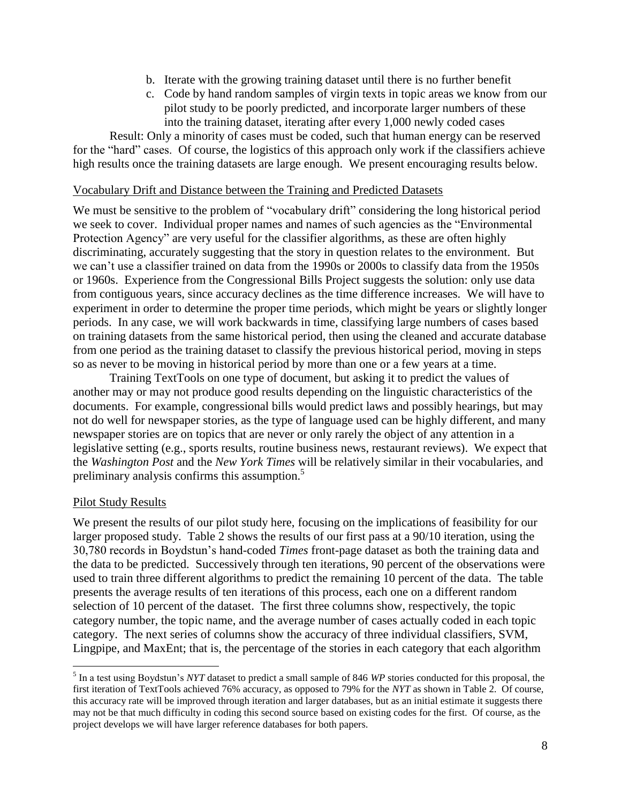- b. Iterate with the growing training dataset until there is no further benefit
- c. Code by hand random samples of virgin texts in topic areas we know from our pilot study to be poorly predicted, and incorporate larger numbers of these into the training dataset, iterating after every 1,000 newly coded cases

Result: Only a minority of cases must be coded, such that human energy can be reserved for the "hard" cases. Of course, the logistics of this approach only work if the classifiers achieve high results once the training datasets are large enough. We present encouraging results below.

#### Vocabulary Drift and Distance between the Training and Predicted Datasets

We must be sensitive to the problem of "vocabulary drift" considering the long historical period we seek to cover. Individual proper names and names of such agencies as the "Environmental" Protection Agency" are very useful for the classifier algorithms, as these are often highly discriminating, accurately suggesting that the story in question relates to the environment. But we can't use a classifier trained on data from the 1990s or 2000s to classify data from the 1950s or 1960s. Experience from the Congressional Bills Project suggests the solution: only use data from contiguous years, since accuracy declines as the time difference increases. We will have to experiment in order to determine the proper time periods, which might be years or slightly longer periods. In any case, we will work backwards in time, classifying large numbers of cases based on training datasets from the same historical period, then using the cleaned and accurate database from one period as the training dataset to classify the previous historical period, moving in steps so as never to be moving in historical period by more than one or a few years at a time.

Training TextTools on one type of document, but asking it to predict the values of another may or may not produce good results depending on the linguistic characteristics of the documents. For example, congressional bills would predict laws and possibly hearings, but may not do well for newspaper stories, as the type of language used can be highly different, and many newspaper stories are on topics that are never or only rarely the object of any attention in a legislative setting (e.g., sports results, routine business news, restaurant reviews). We expect that the *Washington Post* and the *New York Times* will be relatively similar in their vocabularies, and preliminary analysis confirms this assumption.<sup>5</sup>

#### Pilot Study Results

 $\overline{a}$ 

We present the results of our pilot study here, focusing on the implications of feasibility for our larger proposed study. Table 2 shows the results of our first pass at a 90/10 iteration, using the 30,780 records in Boydstun's hand-coded *Times* front-page dataset as both the training data and the data to be predicted. Successively through ten iterations, 90 percent of the observations were used to train three different algorithms to predict the remaining 10 percent of the data. The table presents the average results of ten iterations of this process, each one on a different random selection of 10 percent of the dataset. The first three columns show, respectively, the topic category number, the topic name, and the average number of cases actually coded in each topic category. The next series of columns show the accuracy of three individual classifiers, SVM, Lingpipe, and MaxEnt; that is, the percentage of the stories in each category that each algorithm

<sup>&</sup>lt;sup>5</sup> In a test using Boydstun's *NYT* dataset to predict a small sample of 846 *WP* stories conducted for this proposal, the first iteration of TextTools achieved 76% accuracy, as opposed to 79% for the *NYT* as shown in Table 2. Of course, this accuracy rate will be improved through iteration and larger databases, but as an initial estimate it suggests there may not be that much difficulty in coding this second source based on existing codes for the first. Of course, as the project develops we will have larger reference databases for both papers.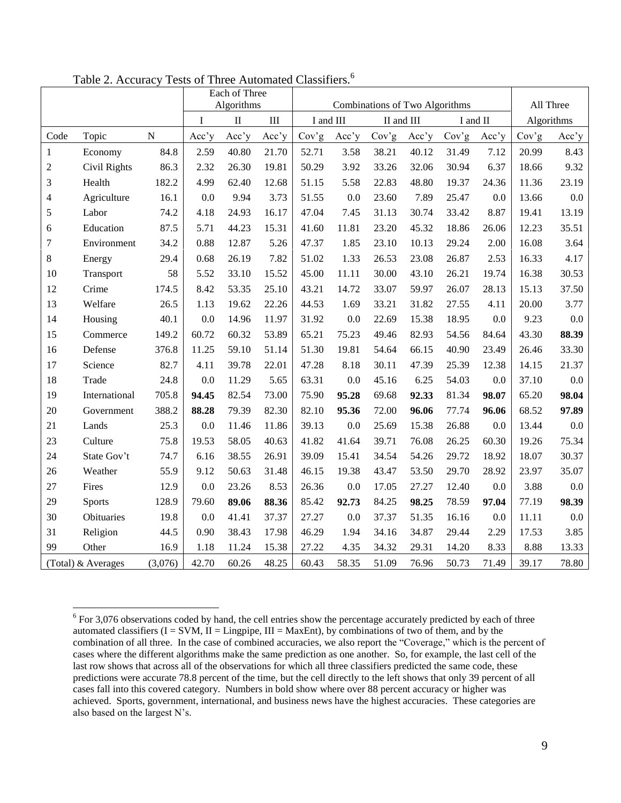|                         |                    |           | Each of Three<br>Algorithms |          | Combinations of Two Algorithms |       |           |            |       |          |       |            |           |
|-------------------------|--------------------|-----------|-----------------------------|----------|--------------------------------|-------|-----------|------------|-------|----------|-------|------------|-----------|
|                         |                    |           | I                           | $\rm II$ | III                            |       | I and III | II and III |       | I and II |       | Algorithms | All Three |
| Code                    | Topic              | ${\bf N}$ | Acc'y                       | Acc'y    | Acc'y                          | Cov'g | Acc'y     | Cov'g      | Acc'y | Cov'g    | Acc'y | Cov'g      | Acc'y     |
|                         |                    |           |                             |          |                                |       |           |            |       |          |       |            |           |
| $\mathbf{1}$            | Economy            | 84.8      | 2.59                        | 40.80    | 21.70                          | 52.71 | 3.58      | 38.21      | 40.12 | 31.49    | 7.12  | 20.99      | 8.43      |
| $\mathfrak{2}$          | Civil Rights       | 86.3      | 2.32                        | 26.30    | 19.81                          | 50.29 | 3.92      | 33.26      | 32.06 | 30.94    | 6.37  | 18.66      | 9.32      |
| 3                       | Health             | 182.2     | 4.99                        | 62.40    | 12.68                          | 51.15 | 5.58      | 22.83      | 48.80 | 19.37    | 24.36 | 11.36      | 23.19     |
| $\overline{\mathbf{4}}$ | Agriculture        | 16.1      | 0.0                         | 9.94     | 3.73                           | 51.55 | 0.0       | 23.60      | 7.89  | 25.47    | 0.0   | 13.66      | $0.0\,$   |
| $\mathfrak s$           | Labor              | 74.2      | 4.18                        | 24.93    | 16.17                          | 47.04 | 7.45      | 31.13      | 30.74 | 33.42    | 8.87  | 19.41      | 13.19     |
| 6                       | Education          | 87.5      | 5.71                        | 44.23    | 15.31                          | 41.60 | 11.81     | 23.20      | 45.32 | 18.86    | 26.06 | 12.23      | 35.51     |
| $\tau$                  | Environment        | 34.2      | 0.88                        | 12.87    | 5.26                           | 47.37 | 1.85      | 23.10      | 10.13 | 29.24    | 2.00  | 16.08      | 3.64      |
| $8\,$                   | Energy             | 29.4      | 0.68                        | 26.19    | 7.82                           | 51.02 | 1.33      | 26.53      | 23.08 | 26.87    | 2.53  | 16.33      | 4.17      |
| 10                      | Transport          | 58        | 5.52                        | 33.10    | 15.52                          | 45.00 | 11.11     | 30.00      | 43.10 | 26.21    | 19.74 | 16.38      | 30.53     |
| 12                      | Crime              | 174.5     | 8.42                        | 53.35    | 25.10                          | 43.21 | 14.72     | 33.07      | 59.97 | 26.07    | 28.13 | 15.13      | 37.50     |
| 13                      | Welfare            | 26.5      | 1.13                        | 19.62    | 22.26                          | 44.53 | 1.69      | 33.21      | 31.82 | 27.55    | 4.11  | 20.00      | 3.77      |
| 14                      | Housing            | 40.1      | 0.0                         | 14.96    | 11.97                          | 31.92 | 0.0       | 22.69      | 15.38 | 18.95    | 0.0   | 9.23       | $0.0\,$   |
| 15                      | Commerce           | 149.2     | 60.72                       | 60.32    | 53.89                          | 65.21 | 75.23     | 49.46      | 82.93 | 54.56    | 84.64 | 43.30      | 88.39     |
| 16                      | Defense            | 376.8     | 11.25                       | 59.10    | 51.14                          | 51.30 | 19.81     | 54.64      | 66.15 | 40.90    | 23.49 | 26.46      | 33.30     |
| 17                      | Science            | 82.7      | 4.11                        | 39.78    | 22.01                          | 47.28 | 8.18      | 30.11      | 47.39 | 25.39    | 12.38 | 14.15      | 21.37     |
| 18                      | Trade              | 24.8      | 0.0                         | 11.29    | 5.65                           | 63.31 | 0.0       | 45.16      | 6.25  | 54.03    | 0.0   | 37.10      | $0.0\,$   |
| 19                      | International      | 705.8     | 94.45                       | 82.54    | 73.00                          | 75.90 | 95.28     | 69.68      | 92.33 | 81.34    | 98.07 | 65.20      | 98.04     |
| 20                      | Government         | 388.2     | 88.28                       | 79.39    | 82.30                          | 82.10 | 95.36     | 72.00      | 96.06 | 77.74    | 96.06 | 68.52      | 97.89     |
| 21                      | Lands              | 25.3      | 0.0                         | 11.46    | 11.86                          | 39.13 | 0.0       | 25.69      | 15.38 | 26.88    | 0.0   | 13.44      | 0.0       |
| 23                      | Culture            | 75.8      | 19.53                       | 58.05    | 40.63                          | 41.82 | 41.64     | 39.71      | 76.08 | 26.25    | 60.30 | 19.26      | 75.34     |
| 24                      | State Gov't        | 74.7      | 6.16                        | 38.55    | 26.91                          | 39.09 | 15.41     | 34.54      | 54.26 | 29.72    | 18.92 | 18.07      | 30.37     |
| 26                      | Weather            | 55.9      | 9.12                        | 50.63    | 31.48                          | 46.15 | 19.38     | 43.47      | 53.50 | 29.70    | 28.92 | 23.97      | 35.07     |
| 27                      | Fires              | 12.9      | 0.0                         | 23.26    | 8.53                           | 26.36 | 0.0       | 17.05      | 27.27 | 12.40    | 0.0   | 3.88       | $0.0\,$   |
| 29                      | <b>Sports</b>      | 128.9     | 79.60                       | 89.06    | 88.36                          | 85.42 | 92.73     | 84.25      | 98.25 | 78.59    | 97.04 | 77.19      | 98.39     |
| 30                      | Obituaries         | 19.8      | 0.0                         | 41.41    | 37.37                          | 27.27 | 0.0       | 37.37      | 51.35 | 16.16    | 0.0   | 11.11      | 0.0       |
| 31                      | Religion           | 44.5      | 0.90                        | 38.43    | 17.98                          | 46.29 | 1.94      | 34.16      | 34.87 | 29.44    | 2.29  | 17.53      | 3.85      |
| 99                      | Other              | 16.9      | 1.18                        | 11.24    | 15.38                          | 27.22 | 4.35      | 34.32      | 29.31 | 14.20    | 8.33  | 8.88       | 13.33     |
|                         | (Total) & Averages | (3,076)   | 42.70                       | 60.26    | 48.25                          | 60.43 | 58.35     | 51.09      | 76.96 | 50.73    | 71.49 | 39.17      | 78.80     |

Table 2. Accuracy Tests of Three Automated Classifiers.<sup>6</sup>

 $\overline{a}$ 

 For 3,076 observations coded by hand, the cell entries show the percentage accurately predicted by each of three automated classifiers  $(I = SVM, II = Lingpipe, III = MaxEnt)$ , by combinations of two of them, and by the combination of all three. In the case of combined accuracies, we also report the "Coverage," which is the percent of cases where the different algorithms make the same prediction as one another. So, for example, the last cell of the last row shows that across all of the observations for which all three classifiers predicted the same code, these predictions were accurate 78.8 percent of the time, but the cell directly to the left shows that only 39 percent of all cases fall into this covered category. Numbers in bold show where over 88 percent accuracy or higher was achieved. Sports, government, international, and business news have the highest accuracies. These categories are also based on the largest N's.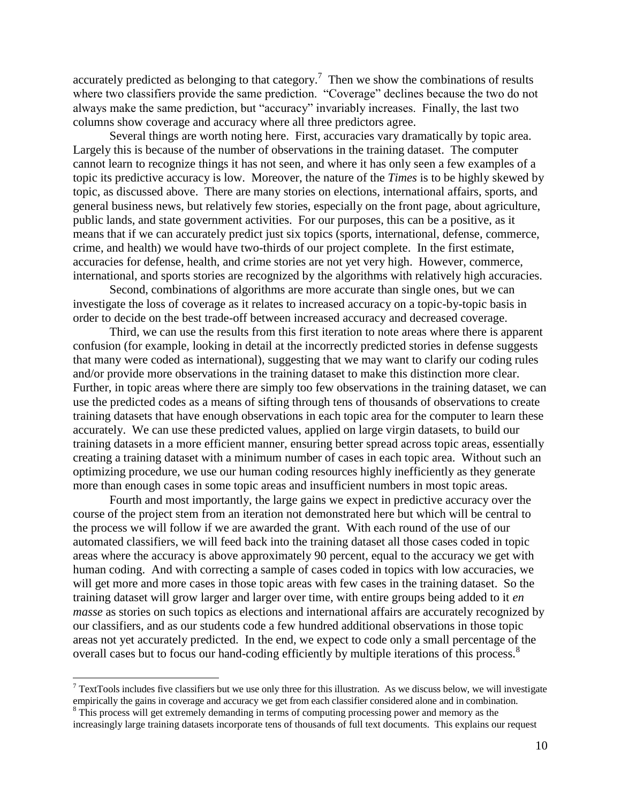accurately predicted as belonging to that category.<sup>7</sup> Then we show the combinations of results where two classifiers provide the same prediction. "Coverage" declines because the two do not always make the same prediction, but "accuracy" invariably increases. Finally, the last two columns show coverage and accuracy where all three predictors agree.

Several things are worth noting here. First, accuracies vary dramatically by topic area. Largely this is because of the number of observations in the training dataset. The computer cannot learn to recognize things it has not seen, and where it has only seen a few examples of a topic its predictive accuracy is low. Moreover, the nature of the *Times* is to be highly skewed by topic, as discussed above. There are many stories on elections, international affairs, sports, and general business news, but relatively few stories, especially on the front page, about agriculture, public lands, and state government activities. For our purposes, this can be a positive, as it means that if we can accurately predict just six topics (sports, international, defense, commerce, crime, and health) we would have two-thirds of our project complete. In the first estimate, accuracies for defense, health, and crime stories are not yet very high. However, commerce, international, and sports stories are recognized by the algorithms with relatively high accuracies.

Second, combinations of algorithms are more accurate than single ones, but we can investigate the loss of coverage as it relates to increased accuracy on a topic-by-topic basis in order to decide on the best trade-off between increased accuracy and decreased coverage.

Third, we can use the results from this first iteration to note areas where there is apparent confusion (for example, looking in detail at the incorrectly predicted stories in defense suggests that many were coded as international), suggesting that we may want to clarify our coding rules and/or provide more observations in the training dataset to make this distinction more clear. Further, in topic areas where there are simply too few observations in the training dataset, we can use the predicted codes as a means of sifting through tens of thousands of observations to create training datasets that have enough observations in each topic area for the computer to learn these accurately. We can use these predicted values, applied on large virgin datasets, to build our training datasets in a more efficient manner, ensuring better spread across topic areas, essentially creating a training dataset with a minimum number of cases in each topic area. Without such an optimizing procedure, we use our human coding resources highly inefficiently as they generate more than enough cases in some topic areas and insufficient numbers in most topic areas.

Fourth and most importantly, the large gains we expect in predictive accuracy over the course of the project stem from an iteration not demonstrated here but which will be central to the process we will follow if we are awarded the grant. With each round of the use of our automated classifiers, we will feed back into the training dataset all those cases coded in topic areas where the accuracy is above approximately 90 percent, equal to the accuracy we get with human coding. And with correcting a sample of cases coded in topics with low accuracies, we will get more and more cases in those topic areas with few cases in the training dataset. So the training dataset will grow larger and larger over time, with entire groups being added to it *en masse* as stories on such topics as elections and international affairs are accurately recognized by our classifiers, and as our students code a few hundred additional observations in those topic areas not yet accurately predicted. In the end, we expect to code only a small percentage of the overall cases but to focus our hand-coding efficiently by multiple iterations of this process.<sup>8</sup>

 $\overline{a}$ 

 $\frac{7}{1}$  TextTools includes five classifiers but we use only three for this illustration. As we discuss below, we will investigate empirically the gains in coverage and accuracy we get from each classifier considered alone and in combination.

<sup>&</sup>lt;sup>8</sup> This process will get extremely demanding in terms of computing processing power and memory as the increasingly large training datasets incorporate tens of thousands of full text documents. This explains our request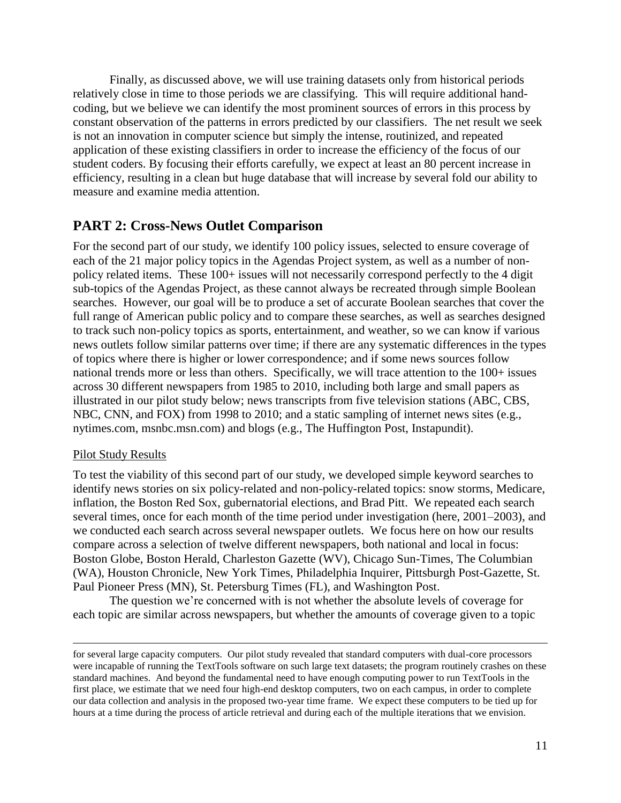Finally, as discussed above, we will use training datasets only from historical periods relatively close in time to those periods we are classifying. This will require additional handcoding, but we believe we can identify the most prominent sources of errors in this process by constant observation of the patterns in errors predicted by our classifiers. The net result we seek is not an innovation in computer science but simply the intense, routinized, and repeated application of these existing classifiers in order to increase the efficiency of the focus of our student coders. By focusing their efforts carefully, we expect at least an 80 percent increase in efficiency, resulting in a clean but huge database that will increase by several fold our ability to measure and examine media attention.

# **PART 2: Cross-News Outlet Comparison**

For the second part of our study, we identify 100 policy issues, selected to ensure coverage of each of the 21 major policy topics in the Agendas Project system, as well as a number of nonpolicy related items. These 100+ issues will not necessarily correspond perfectly to the 4 digit sub-topics of the Agendas Project, as these cannot always be recreated through simple Boolean searches. However, our goal will be to produce a set of accurate Boolean searches that cover the full range of American public policy and to compare these searches, as well as searches designed to track such non-policy topics as sports, entertainment, and weather, so we can know if various news outlets follow similar patterns over time; if there are any systematic differences in the types of topics where there is higher or lower correspondence; and if some news sources follow national trends more or less than others. Specifically, we will trace attention to the 100+ issues across 30 different newspapers from 1985 to 2010, including both large and small papers as illustrated in our pilot study below; news transcripts from five television stations (ABC, CBS, NBC, CNN, and FOX) from 1998 to 2010; and a static sampling of internet news sites (e.g., nytimes.com, msnbc.msn.com) and blogs (e.g., The Huffington Post, Instapundit).

## Pilot Study Results

 $\overline{a}$ 

To test the viability of this second part of our study, we developed simple keyword searches to identify news stories on six policy-related and non-policy-related topics: snow storms, Medicare, inflation, the Boston Red Sox, gubernatorial elections, and Brad Pitt. We repeated each search several times, once for each month of the time period under investigation (here, 2001–2003), and we conducted each search across several newspaper outlets. We focus here on how our results compare across a selection of twelve different newspapers, both national and local in focus: Boston Globe, Boston Herald, Charleston Gazette (WV), Chicago Sun-Times, The Columbian (WA), Houston Chronicle, New York Times, Philadelphia Inquirer, Pittsburgh Post-Gazette, St. Paul Pioneer Press (MN), St. Petersburg Times (FL), and Washington Post.

The question we're concerned with is not whether the absolute levels of coverage for each topic are similar across newspapers, but whether the amounts of coverage given to a topic

for several large capacity computers. Our pilot study revealed that standard computers with dual-core processors were incapable of running the TextTools software on such large text datasets; the program routinely crashes on these standard machines. And beyond the fundamental need to have enough computing power to run TextTools in the first place, we estimate that we need four high-end desktop computers, two on each campus, in order to complete our data collection and analysis in the proposed two-year time frame. We expect these computers to be tied up for hours at a time during the process of article retrieval and during each of the multiple iterations that we envision.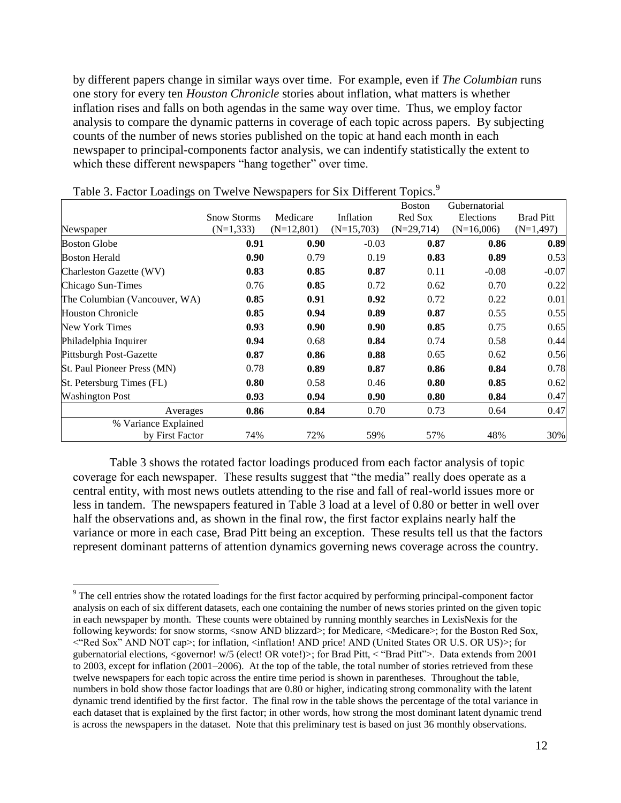by different papers change in similar ways over time. For example, even if *The Columbian* runs one story for every ten *Houston Chronicle* stories about inflation, what matters is whether inflation rises and falls on both agendas in the same way over time. Thus, we employ factor analysis to compare the dynamic patterns in coverage of each topic across papers. By subjecting counts of the number of news stories published on the topic at hand each month in each newspaper to principal-components factor analysis, we can indentify statistically the extent to which these different newspapers "hang together" over time.

|                               |                    |              |              | <b>Boston</b> | Gubernatorial |                  |
|-------------------------------|--------------------|--------------|--------------|---------------|---------------|------------------|
|                               | <b>Snow Storms</b> | Medicare     | Inflation    | Red Sox       | Elections     | <b>Brad Pitt</b> |
| Newspaper                     | $(N=1,333)$        | $(N=12,801)$ | $(N=15,703)$ | $(N=29,714)$  | $(N=16,006)$  | $(N=1,497)$      |
| <b>Boston Globe</b>           | 0.91               | 0.90         | $-0.03$      | 0.87          | 0.86          | 0.89             |
| <b>Boston Herald</b>          | 0.90               | 0.79         | 0.19         | 0.83          | 0.89          | 0.53             |
| Charleston Gazette (WV)       | 0.83               | 0.85         | 0.87         | 0.11          | $-0.08$       | $-0.07$          |
| Chicago Sun-Times             | 0.76               | 0.85         | 0.72         | 0.62          | 0.70          | 0.22             |
| The Columbian (Vancouver, WA) | 0.85               | 0.91         | 0.92         | 0.72          | 0.22          | 0.01             |
| <b>Houston Chronicle</b>      | 0.85               | 0.94         | 0.89         | 0.87          | 0.55          | 0.55             |
| New York Times                | 0.93               | 0.90         | 0.90         | 0.85          | 0.75          | 0.65             |
| Philadelphia Inquirer         | 0.94               | 0.68         | 0.84         | 0.74          | 0.58          | 0.44             |
| Pittsburgh Post-Gazette       | 0.87               | 0.86         | 0.88         | 0.65          | 0.62          | 0.56             |
| St. Paul Pioneer Press (MN)   | 0.78               | 0.89         | 0.87         | 0.86          | 0.84          | 0.78             |
| St. Petersburg Times (FL)     | 0.80               | 0.58         | 0.46         | 0.80          | 0.85          | 0.62             |
| <b>Washington Post</b>        | 0.93               | 0.94         | 0.90         | 0.80          | 0.84          | 0.47             |
| Averages                      | 0.86               | 0.84         | 0.70         | 0.73          | 0.64          | 0.47             |
| % Variance Explained          |                    |              |              |               |               |                  |
| by First Factor               | 74%                | 72%          | 59%          | 57%           | 48%           | 30%              |

Table 3. Factor Loadings on Twelve Newspapers for Six Different Topics.<sup>9</sup>

Table 3 shows the rotated factor loadings produced from each factor analysis of topic coverage for each newspaper. These results suggest that "the media" really does operate as a central entity, with most news outlets attending to the rise and fall of real-world issues more or less in tandem. The newspapers featured in Table 3 load at a level of 0.80 or better in well over half the observations and, as shown in the final row, the first factor explains nearly half the variance or more in each case, Brad Pitt being an exception. These results tell us that the factors represent dominant patterns of attention dynamics governing news coverage across the country.

 $\overline{a}$  $9<sup>9</sup>$  The cell entries show the rotated loadings for the first factor acquired by performing principal-component factor analysis on each of six different datasets, each one containing the number of news stories printed on the given topic in each newspaper by month. These counts were obtained by running monthly searches in LexisNexis for the following keywords: for snow storms, <snow AND blizzard>; for Medicare, <Medicare>; for the Boston Red Sox, <―Red Sox‖ AND NOT cap>; for inflation, <inflation! AND price! AND (United States OR U.S. OR US)>; for gubernatorial elections, <governor! w/5 (elect! OR vote!)>; for Brad Pitt, < "Brad Pitt">. Data extends from 2001 to 2003, except for inflation (2001–2006). At the top of the table, the total number of stories retrieved from these twelve newspapers for each topic across the entire time period is shown in parentheses. Throughout the table, numbers in bold show those factor loadings that are 0.80 or higher, indicating strong commonality with the latent dynamic trend identified by the first factor. The final row in the table shows the percentage of the total variance in each dataset that is explained by the first factor; in other words, how strong the most dominant latent dynamic trend is across the newspapers in the dataset. Note that this preliminary test is based on just 36 monthly observations.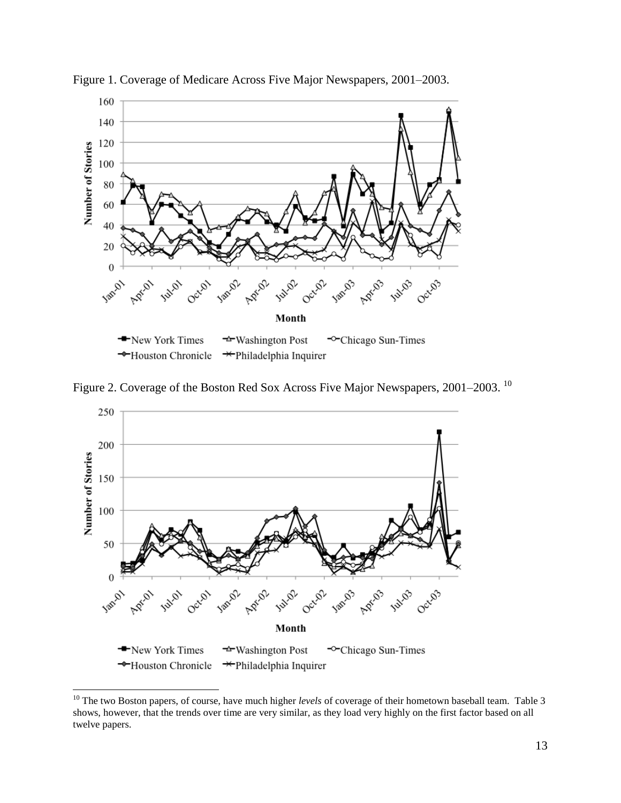

Figure 1. Coverage of Medicare Across Five Major Newspapers, 2001–2003.

Figure 2. Coverage of the Boston Red Sox Across Five Major Newspapers, 2001–2003. <sup>10</sup>



 $\overline{a}$ 

<sup>&</sup>lt;sup>10</sup> The two Boston papers, of course, have much higher *levels* of coverage of their hometown baseball team. Table 3 shows, however, that the trends over time are very similar, as they load very highly on the first factor based on all twelve papers.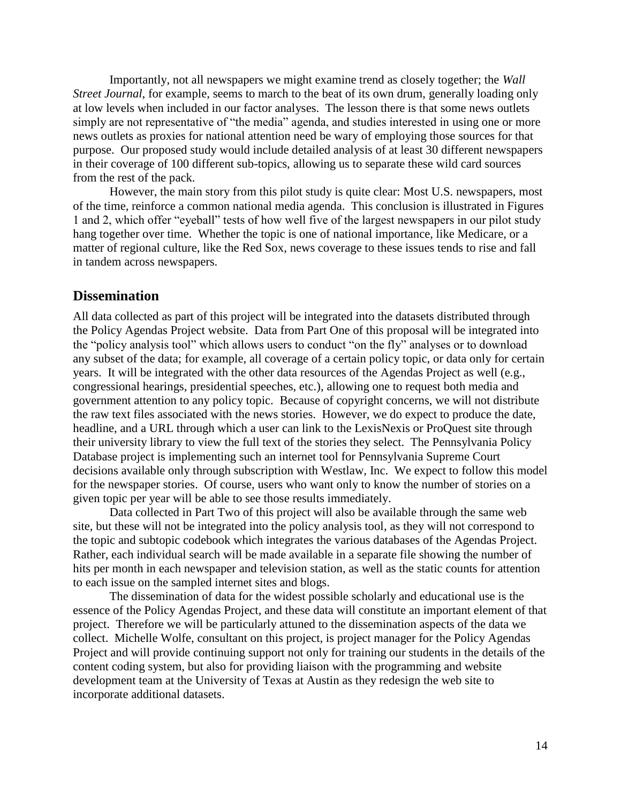Importantly, not all newspapers we might examine trend as closely together; the *Wall Street Journal*, for example, seems to march to the beat of its own drum, generally loading only at low levels when included in our factor analyses. The lesson there is that some news outlets simply are not representative of "the media" agenda, and studies interested in using one or more news outlets as proxies for national attention need be wary of employing those sources for that purpose. Our proposed study would include detailed analysis of at least 30 different newspapers in their coverage of 100 different sub-topics, allowing us to separate these wild card sources from the rest of the pack.

However, the main story from this pilot study is quite clear: Most U.S. newspapers, most of the time, reinforce a common national media agenda. This conclusion is illustrated in Figures 1 and 2, which offer "eyeball" tests of how well five of the largest newspapers in our pilot study hang together over time. Whether the topic is one of national importance, like Medicare, or a matter of regional culture, like the Red Sox, news coverage to these issues tends to rise and fall in tandem across newspapers.

## **Dissemination**

All data collected as part of this project will be integrated into the datasets distributed through the Policy Agendas Project website. Data from Part One of this proposal will be integrated into the "policy analysis tool" which allows users to conduct "on the fly" analyses or to download any subset of the data; for example, all coverage of a certain policy topic, or data only for certain years. It will be integrated with the other data resources of the Agendas Project as well (e.g., congressional hearings, presidential speeches, etc.), allowing one to request both media and government attention to any policy topic. Because of copyright concerns, we will not distribute the raw text files associated with the news stories. However, we do expect to produce the date, headline, and a URL through which a user can link to the LexisNexis or ProQuest site through their university library to view the full text of the stories they select. The Pennsylvania Policy Database project is implementing such an internet tool for Pennsylvania Supreme Court decisions available only through subscription with Westlaw, Inc. We expect to follow this model for the newspaper stories. Of course, users who want only to know the number of stories on a given topic per year will be able to see those results immediately.

Data collected in Part Two of this project will also be available through the same web site, but these will not be integrated into the policy analysis tool, as they will not correspond to the topic and subtopic codebook which integrates the various databases of the Agendas Project. Rather, each individual search will be made available in a separate file showing the number of hits per month in each newspaper and television station, as well as the static counts for attention to each issue on the sampled internet sites and blogs.

The dissemination of data for the widest possible scholarly and educational use is the essence of the Policy Agendas Project, and these data will constitute an important element of that project. Therefore we will be particularly attuned to the dissemination aspects of the data we collect. Michelle Wolfe, consultant on this project, is project manager for the Policy Agendas Project and will provide continuing support not only for training our students in the details of the content coding system, but also for providing liaison with the programming and website development team at the University of Texas at Austin as they redesign the web site to incorporate additional datasets.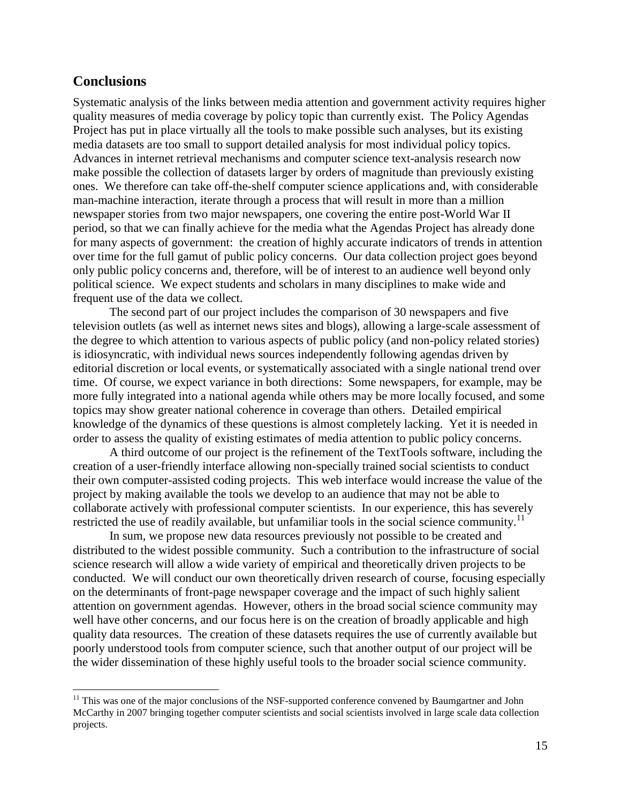## **Conclusions**

 $\overline{a}$ 

Systematic analysis of the links between media attention and government activity requires higher quality measures of media coverage by policy topic than currently exist. The Policy Agendas Project has put in place virtually all the tools to make possible such analyses, but its existing media datasets are too small to support detailed analysis for most individual policy topics. Advances in internet retrieval mechanisms and computer science text-analysis research now make possible the collection of datasets larger by orders of magnitude than previously existing ones. We therefore can take off-the-shelf computer science applications and, with considerable man-machine interaction, iterate through a process that will result in more than a million newspaper stories from two major newspapers, one covering the entire post-World War II period, so that we can finally achieve for the media what the Agendas Project has already done for many aspects of government: the creation of highly accurate indicators of trends in attention over time for the full gamut of public policy concerns. Our data collection project goes beyond only public policy concerns and, therefore, will be of interest to an audience well beyond only political science. We expect students and scholars in many disciplines to make wide and frequent use of the data we collect.

The second part of our project includes the comparison of 30 newspapers and five television outlets (as well as internet news sites and blogs), allowing a large-scale assessment of the degree to which attention to various aspects of public policy (and non-policy related stories) is idiosyncratic, with individual news sources independently following agendas driven by editorial discretion or local events, or systematically associated with a single national trend over time. Of course, we expect variance in both directions: Some newspapers, for example, may be more fully integrated into a national agenda while others may be more locally focused, and some topics may show greater national coherence in coverage than others. Detailed empirical knowledge of the dynamics of these questions is almost completely lacking. Yet it is needed in order to assess the quality of existing estimates of media attention to public policy concerns.

A third outcome of our project is the refinement of the TextTools software, including the creation of a user-friendly interface allowing non-specially trained social scientists to conduct their own computer-assisted coding projects. This web interface would increase the value of the project by making available the tools we develop to an audience that may not be able to collaborate actively with professional computer scientists. In our experience, this has severely restricted the use of readily available, but unfamiliar tools in the social science community.<sup>11</sup>

In sum, we propose new data resources previously not possible to be created and distributed to the widest possible community. Such a contribution to the infrastructure of social science research will allow a wide variety of empirical and theoretically driven projects to be conducted. We will conduct our own theoretically driven research of course, focusing especially on the determinants of front-page newspaper coverage and the impact of such highly salient attention on government agendas. However, others in the broad social science community may well have other concerns, and our focus here is on the creation of broadly applicable and high quality data resources. The creation of these datasets requires the use of currently available but poorly understood tools from computer science, such that another output of our project will be the wider dissemination of these highly useful tools to the broader social science community.

<sup>&</sup>lt;sup>11</sup> This was one of the major conclusions of the NSF-supported conference convened by Baumgartner and John McCarthy in 2007 bringing together computer scientists and social scientists involved in large scale data collection projects.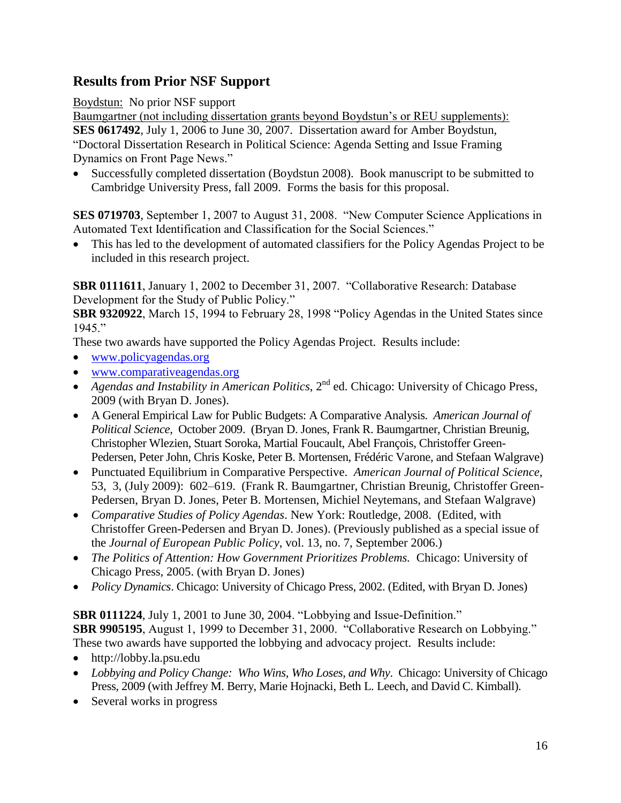# **Results from Prior NSF Support**

Boydstun: No prior NSF support

Baumgartner (not including dissertation grants beyond Boydstun's or REU supplements): **SES 0617492**, July 1, 2006 to June 30, 2007. Dissertation award for Amber Boydstun, ―Doctoral Dissertation Research in Political Science: Agenda Setting and Issue Framing Dynamics on Front Page News."

 Successfully completed dissertation (Boydstun 2008). Book manuscript to be submitted to Cambridge University Press, fall 2009. Forms the basis for this proposal.

**SES 0719703**, September 1, 2007 to August 31, 2008. "New Computer Science Applications in Automated Text Identification and Classification for the Social Sciences."

 This has led to the development of automated classifiers for the Policy Agendas Project to be included in this research project.

**SBR 0111611**, January 1, 2002 to December 31, 2007. "Collaborative Research: Database Development for the Study of Public Policy."

**SBR 9320922**, March 15, 1994 to February 28, 1998 "Policy Agendas in the United States since 1945."

These two awards have supported the Policy Agendas Project. Results include:

- [www.policyagendas.org](http://www.policyagendas.org/)
- [www.comparativeagendas.org](http://www.comparativeagendas.org/)
- Agendas and Instability in American Politics, 2<sup>nd</sup> ed. Chicago: University of Chicago Press, 2009 (with Bryan D. Jones).
- A General Empirical Law for Public Budgets: A Comparative Analysis. *American Journal of Political Science*, October 2009. (Bryan D. Jones, Frank R. Baumgartner, Christian Breunig, Christopher Wlezien, Stuart Soroka, Martial Foucault, Abel François, Christoffer Green-Pedersen, Peter John, Chris Koske, Peter B. Mortensen, Frédéric Varone, and Stefaan Walgrave)
- Punctuated Equilibrium in Comparative Perspective. *American Journal of Political Science*, 53, 3, (July 2009): 602–619. (Frank R. Baumgartner, Christian Breunig, Christoffer Green-Pedersen, Bryan D. Jones, Peter B. Mortensen, Michiel Neytemans, and Stefaan Walgrave)
- *Comparative Studies of Policy Agendas*. New York: Routledge, 2008. (Edited, with Christoffer Green-Pedersen and Bryan D. Jones). (Previously published as a special issue of the *Journal of European Public Policy*, vol. 13, no. 7, September 2006.)
- The Politics of Attention: How Government Prioritizes Problems. Chicago: University of Chicago Press, 2005. (with Bryan D. Jones)
- *Policy Dynamics*. Chicago: University of Chicago Press, 2002. (Edited, with Bryan D. Jones)

**SBR 0111224**, July 1, 2001 to June 30, 2004. "Lobbying and Issue-Definition." **SBR 9905195**, August 1, 1999 to December 31, 2000. "Collaborative Research on Lobbying." These two awards have supported the lobbying and advocacy project. Results include:

- http://lobby.la.psu.edu
- *Lobbying and Policy Change: Who Wins, Who Loses, and Why*. Chicago: University of Chicago Press, 2009 (with Jeffrey M. Berry, Marie Hojnacki, Beth L. Leech, and David C. Kimball).
- Several works in progress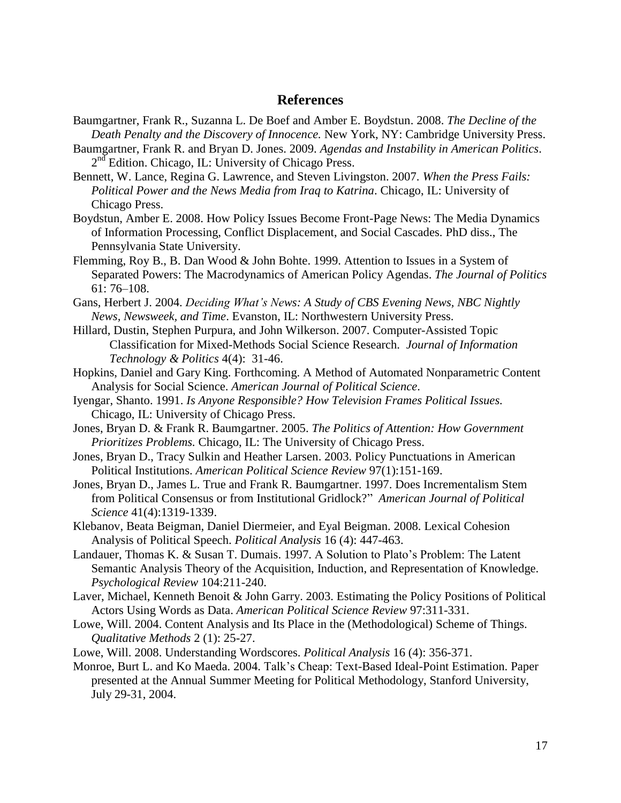## **References**

- Baumgartner, Frank R., Suzanna L. De Boef and Amber E. Boydstun. 2008. *The Decline of the Death Penalty and the Discovery of Innocence.* New York, NY: Cambridge University Press.
- Baumgartner, Frank R. and Bryan D. Jones. 2009. *Agendas and Instability in American Politics*. 2<sup>nd</sup> Edition. Chicago, IL: University of Chicago Press.
- Bennett, W. Lance, Regina G. Lawrence, and Steven Livingston. 2007. *When the Press Fails: Political Power and the News Media from Iraq to Katrina*. Chicago, IL: University of Chicago Press.
- Boydstun, Amber E. 2008. How Policy Issues Become Front-Page News: The Media Dynamics of Information Processing, Conflict Displacement, and Social Cascades. PhD diss., The Pennsylvania State University.
- Flemming, Roy B., B. Dan Wood & John Bohte. 1999. Attention to Issues in a System of Separated Powers: The Macrodynamics of American Policy Agendas. *The Journal of Politics* 61: 76–108.
- Gans, Herbert J. 2004. *Deciding What's News: A Study of CBS Evening News, NBC Nightly News, Newsweek, and Time*. Evanston, IL: Northwestern University Press.
- Hillard, Dustin, Stephen Purpura, and John Wilkerson. 2007. Computer-Assisted Topic Classification for Mixed-Methods Social Science Research. *Journal of Information Technology & Politics* 4(4): 31-46.
- Hopkins, Daniel and Gary King. Forthcoming. A Method of Automated Nonparametric Content Analysis for Social Science. *American Journal of Political Science*.
- Iyengar, Shanto. 1991. *Is Anyone Responsible? How Television Frames Political Issues.*  Chicago, IL: University of Chicago Press.
- Jones, Bryan D. & Frank R. Baumgartner. 2005. *The Politics of Attention: How Government Prioritizes Problems.* Chicago, IL: The University of Chicago Press.
- Jones, Bryan D., Tracy Sulkin and Heather Larsen. 2003. Policy Punctuations in American Political Institutions. *American Political Science Review* 97(1):151-169.
- Jones, Bryan D., James L. True and Frank R. Baumgartner. 1997. Does Incrementalism Stem from Political Consensus or from Institutional Gridlock?‖ *American Journal of Political Science* 41(4):1319-1339.
- Klebanov, Beata Beigman, Daniel Diermeier, and Eyal Beigman. 2008. Lexical Cohesion Analysis of Political Speech. *Political Analysis* 16 (4): 447-463.
- Landauer, Thomas K. & Susan T. Dumais. 1997. A Solution to Plato's Problem: The Latent Semantic Analysis Theory of the Acquisition, Induction, and Representation of Knowledge. *Psychological Review* 104:211-240.
- Laver, Michael, Kenneth Benoit & John Garry. 2003. Estimating the Policy Positions of Political Actors Using Words as Data. *American Political Science Review* 97:311-331.
- Lowe, Will. 2004. Content Analysis and Its Place in the (Methodological) Scheme of Things. *Qualitative Methods* 2 (1): 25-27.
- Lowe, Will. 2008. Understanding Wordscores. *Political Analysis* 16 (4): 356-371.
- Monroe, Burt L. and Ko Maeda. 2004. Talk's Cheap: Text-Based Ideal-Point Estimation. Paper presented at the Annual Summer Meeting for Political Methodology, Stanford University, July 29-31, 2004.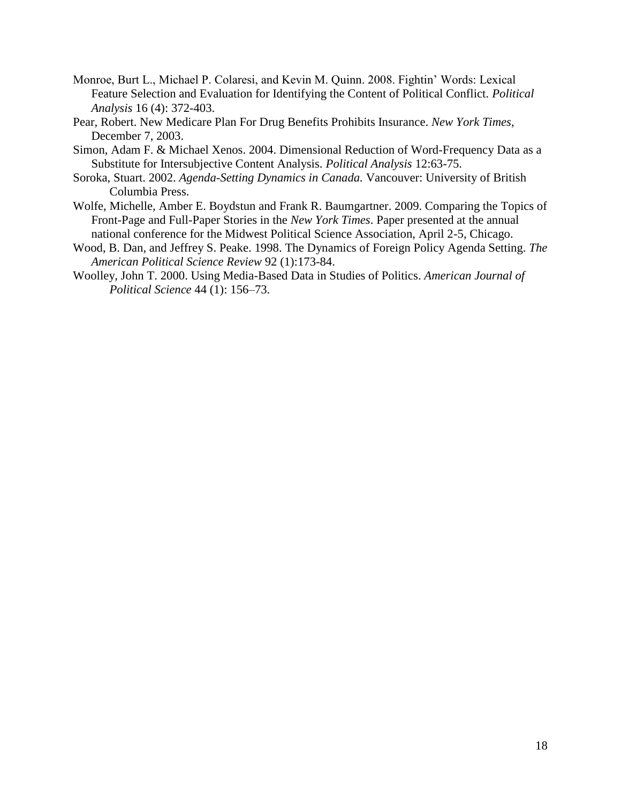- Monroe, Burt L., Michael P. Colaresi, and Kevin M. Quinn. 2008. Fightin' Words: Lexical Feature Selection and Evaluation for Identifying the Content of Political Conflict. *Political Analysis* 16 (4): 372-403.
- Pear, Robert. New Medicare Plan For Drug Benefits Prohibits Insurance. *New York Times*, December 7, 2003.
- Simon, Adam F. & Michael Xenos. 2004. Dimensional Reduction of Word-Frequency Data as a Substitute for Intersubjective Content Analysis. *Political Analysis* 12:63-75.
- Soroka, Stuart. 2002. *Agenda-Setting Dynamics in Canada.* Vancouver: University of British Columbia Press.
- Wolfe, Michelle, Amber E. Boydstun and Frank R. Baumgartner. 2009. Comparing the Topics of Front-Page and Full-Paper Stories in the *New York Times*. Paper presented at the annual national conference for the Midwest Political Science Association, April 2-5, Chicago.
- Wood, B. Dan, and Jeffrey S. Peake. 1998. The Dynamics of Foreign Policy Agenda Setting. *The American Political Science Review* 92 (1):173-84.
- Woolley, John T. 2000. Using Media-Based Data in Studies of Politics. *American Journal of Political Science* 44 (1): 156–73.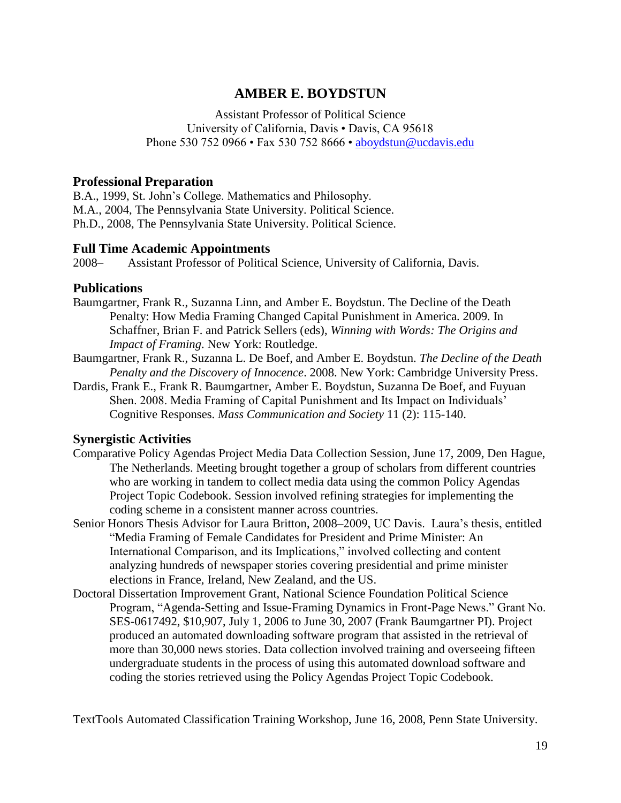# **AMBER E. BOYDSTUN**

Assistant Professor of Political Science University of California, Davis • Davis, CA 95618 Phone 530 752 0966 • Fax 530 752 8666 • [aboydstun@ucdavis.edu](mailto:aboydstun@ucdavis.edu)

## **Professional Preparation**

B.A., 1999, St. John's College. Mathematics and Philosophy. M.A., 2004, The Pennsylvania State University. Political Science. Ph.D., 2008, The Pennsylvania State University. Political Science.

## **Full Time Academic Appointments**

2008– Assistant Professor of Political Science, University of California, Davis.

## **Publications**

- Baumgartner, Frank R., Suzanna Linn, and Amber E. Boydstun. The Decline of the Death Penalty: How Media Framing Changed Capital Punishment in America. 2009. In Schaffner, Brian F. and Patrick Sellers (eds), *Winning with Words: The Origins and Impact of Framing*. New York: Routledge.
- Baumgartner, Frank R., Suzanna L. De Boef, and Amber E. Boydstun. *The Decline of the Death Penalty and the Discovery of Innocence*. 2008. New York: Cambridge University Press.
- Dardis, Frank E., Frank R. Baumgartner, Amber E. Boydstun, Suzanna De Boef, and Fuyuan Shen. 2008. Media Framing of Capital Punishment and Its Impact on Individuals' Cognitive Responses. *Mass Communication and Society* 11 (2): 115-140.

## **Synergistic Activities**

- Comparative Policy Agendas Project Media Data Collection Session, June 17, 2009, Den Hague, The Netherlands. Meeting brought together a group of scholars from different countries who are working in tandem to collect media data using the common Policy Agendas Project Topic Codebook. Session involved refining strategies for implementing the coding scheme in a consistent manner across countries.
- Senior Honors Thesis Advisor for Laura Britton, 2008–2009, UC Davis. Laura's thesis, entitled ―Media Framing of Female Candidates for President and Prime Minister: An International Comparison, and its Implications," involved collecting and content analyzing hundreds of newspaper stories covering presidential and prime minister elections in France, Ireland, New Zealand, and the US.
- Doctoral Dissertation Improvement Grant, National Science Foundation Political Science Program, "Agenda-Setting and Issue-Framing Dynamics in Front-Page News." Grant No. SES-0617492, \$10,907, July 1, 2006 to June 30, 2007 (Frank Baumgartner PI). Project produced an automated downloading software program that assisted in the retrieval of more than 30,000 news stories. Data collection involved training and overseeing fifteen undergraduate students in the process of using this automated download software and coding the stories retrieved using the Policy Agendas Project Topic Codebook.

TextTools Automated Classification Training Workshop, June 16, 2008, Penn State University.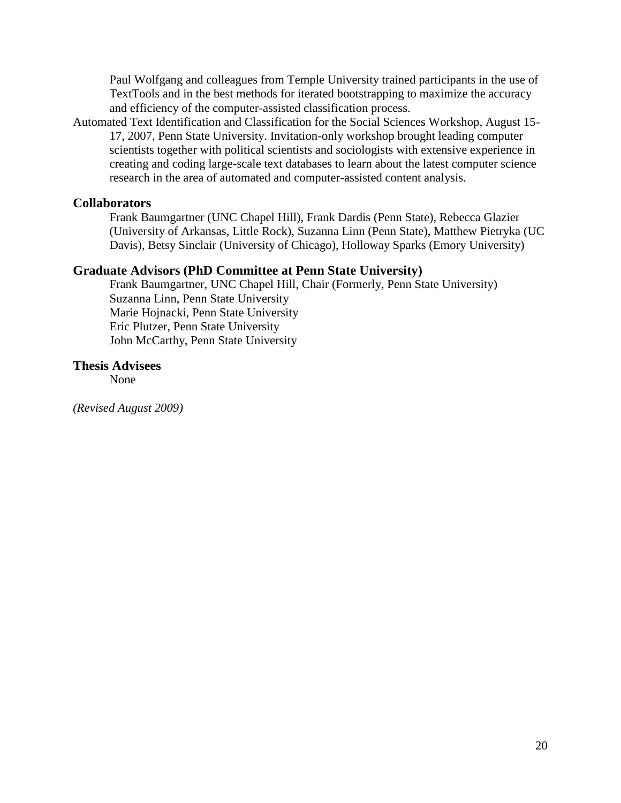Paul Wolfgang and colleagues from Temple University trained participants in the use of TextTools and in the best methods for iterated bootstrapping to maximize the accuracy and efficiency of the computer-assisted classification process.

Automated Text Identification and Classification for the Social Sciences Workshop, August 15- 17, 2007, Penn State University. Invitation-only workshop brought leading computer scientists together with political scientists and sociologists with extensive experience in creating and coding large-scale text databases to learn about the latest computer science research in the area of automated and computer-assisted content analysis.

## **Collaborators**

Frank Baumgartner (UNC Chapel Hill), Frank Dardis (Penn State), Rebecca Glazier (University of Arkansas, Little Rock), Suzanna Linn (Penn State), Matthew Pietryka (UC Davis), Betsy Sinclair (University of Chicago), Holloway Sparks (Emory University)

## **Graduate Advisors (PhD Committee at Penn State University)**

Frank Baumgartner, UNC Chapel Hill, Chair (Formerly, Penn State University) Suzanna Linn, Penn State University Marie Hojnacki, Penn State University Eric Plutzer, Penn State University John McCarthy, Penn State University

## **Thesis Advisees**

None

*(Revised August 2009)*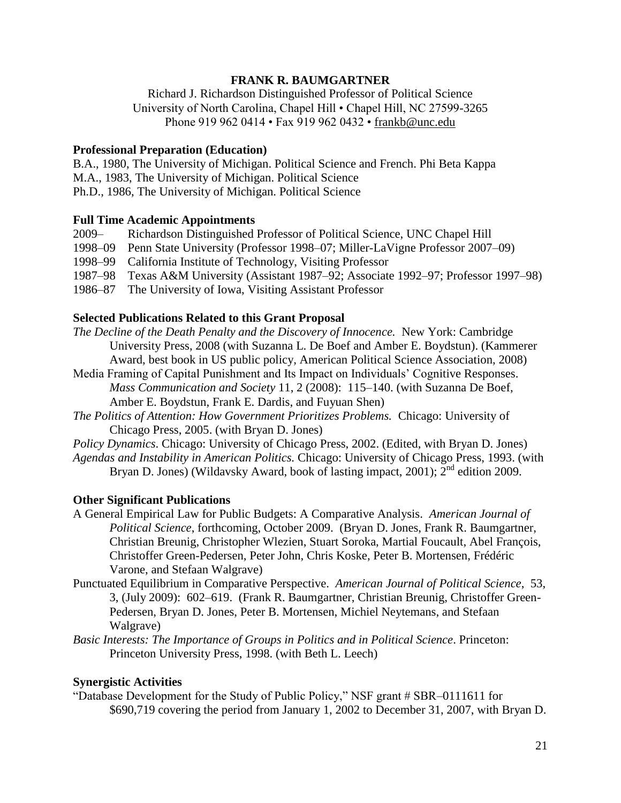## **FRANK R. BAUMGARTNER**

Richard J. Richardson Distinguished Professor of Political Science University of North Carolina, Chapel Hill • Chapel Hill, NC 27599-3265 Phone 919 962 0414 • Fax 919 962 0432 • [frankb@unc.edu](mailto:frankb@unc.edu)

#### **Professional Preparation (Education)**

B.A., 1980, The University of Michigan. Political Science and French. Phi Beta Kappa M.A., 1983, The University of Michigan. Political Science Ph.D., 1986, The University of Michigan. Political Science

#### **Full Time Academic Appointments**

2009– Richardson Distinguished Professor of Political Science, UNC Chapel Hill

- 1998–09 Penn State University (Professor 1998–07; Miller-LaVigne Professor 2007–09)
- 1998–99 California Institute of Technology, Visiting Professor
- 1987–98 Texas A&M University (Assistant 1987–92; Associate 1992–97; Professor 1997–98)
- 1986–87 The University of Iowa, Visiting Assistant Professor

## **Selected Publications Related to this Grant Proposal**

- *The Decline of the Death Penalty and the Discovery of Innocence.* New York: Cambridge University Press, 2008 (with Suzanna L. De Boef and Amber E. Boydstun). (Kammerer Award, best book in US public policy, American Political Science Association, 2008)
- Media Framing of Capital Punishment and Its Impact on Individuals' Cognitive Responses. *Mass Communication and Society* 11, 2 (2008): 115–140. (with Suzanna De Boef, Amber E. Boydstun, Frank E. Dardis, and Fuyuan Shen)
- *The Politics of Attention: How Government Prioritizes Problems.* Chicago: University of Chicago Press, 2005. (with Bryan D. Jones)
- *Policy Dynamics*. Chicago: University of Chicago Press, 2002. (Edited, with Bryan D. Jones)
- *Agendas and Instability in American Politics.* Chicago: University of Chicago Press, 1993. (with Bryan D. Jones) (Wildavsky Award, book of lasting impact, 2001);  $2^{nd}$  edition 2009.

## **Other Significant Publications**

- A General Empirical Law for Public Budgets: A Comparative Analysis. *American Journal of Political Science*, forthcoming, October 2009. (Bryan D. Jones, Frank R. Baumgartner, Christian Breunig, Christopher Wlezien, Stuart Soroka, Martial Foucault, Abel François, Christoffer Green-Pedersen, Peter John, Chris Koske, Peter B. Mortensen, Frédéric Varone, and Stefaan Walgrave)
- Punctuated Equilibrium in Comparative Perspective. *American Journal of Political Science*, 53, 3, (July 2009): 602–619. (Frank R. Baumgartner, Christian Breunig, Christoffer Green-Pedersen, Bryan D. Jones, Peter B. Mortensen, Michiel Neytemans, and Stefaan Walgrave)

*Basic Interests: The Importance of Groups in Politics and in Political Science*. Princeton: Princeton University Press, 1998. (with Beth L. Leech)

#### **Synergistic Activities**

―Database Development for the Study of Public Policy,‖ NSF grant # SBR–0111611 for \$690,719 covering the period from January 1, 2002 to December 31, 2007, with Bryan D.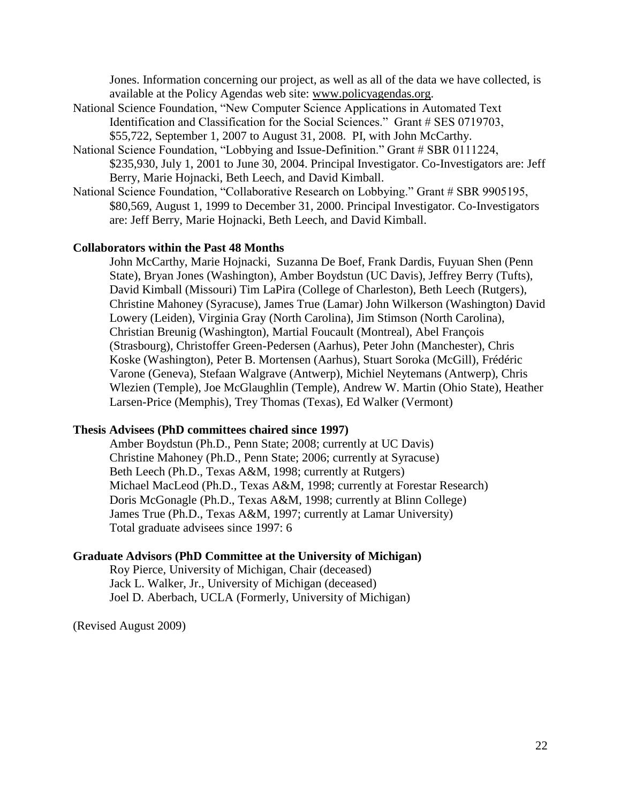Jones. Information concerning our project, as well as all of the data we have collected, is available at the Policy Agendas web site: [www.policyagendas.org.](http://www.policyagendas.org/)

- National Science Foundation, "New Computer Science Applications in Automated Text Identification and Classification for the Social Sciences." Grant # SES 0719703, \$55,722, September 1, 2007 to August 31, 2008. PI, with John McCarthy.
- National Science Foundation, "Lobbying and Issue-Definition." Grant # SBR 0111224, \$235,930, July 1, 2001 to June 30, 2004. Principal Investigator. Co-Investigators are: Jeff Berry, Marie Hojnacki, Beth Leech, and David Kimball.
- National Science Foundation, "Collaborative Research on Lobbying." Grant # SBR 9905195, \$80,569, August 1, 1999 to December 31, 2000. Principal Investigator. Co-Investigators are: Jeff Berry, Marie Hojnacki, Beth Leech, and David Kimball.

#### **Collaborators within the Past 48 Months**

John McCarthy, Marie Hojnacki, Suzanna De Boef, Frank Dardis, Fuyuan Shen (Penn State), Bryan Jones (Washington), Amber Boydstun (UC Davis), Jeffrey Berry (Tufts), David Kimball (Missouri) Tim LaPira (College of Charleston), Beth Leech (Rutgers), Christine Mahoney (Syracuse), James True (Lamar) John Wilkerson (Washington) David Lowery (Leiden), Virginia Gray (North Carolina), Jim Stimson (North Carolina), Christian Breunig (Washington), Martial Foucault (Montreal), Abel François (Strasbourg), Christoffer Green-Pedersen (Aarhus), Peter John (Manchester), Chris Koske (Washington), Peter B. Mortensen (Aarhus), Stuart Soroka (McGill), Frédéric Varone (Geneva), Stefaan Walgrave (Antwerp), Michiel Neytemans (Antwerp), Chris Wlezien (Temple), Joe McGlaughlin (Temple), Andrew W. Martin (Ohio State), Heather Larsen-Price (Memphis), Trey Thomas (Texas), Ed Walker (Vermont)

#### **Thesis Advisees (PhD committees chaired since 1997)**

Amber Boydstun (Ph.D., Penn State; 2008; currently at UC Davis) Christine Mahoney (Ph.D., Penn State; 2006; currently at Syracuse) Beth Leech (Ph.D., Texas A&M, 1998; currently at Rutgers) Michael MacLeod (Ph.D., Texas A&M, 1998; currently at Forestar Research) Doris McGonagle (Ph.D., Texas A&M, 1998; currently at Blinn College) James True (Ph.D., Texas A&M, 1997; currently at Lamar University) Total graduate advisees since 1997: 6

#### **Graduate Advisors (PhD Committee at the University of Michigan)**

Roy Pierce, University of Michigan, Chair (deceased) Jack L. Walker, Jr., University of Michigan (deceased) Joel D. Aberbach, UCLA (Formerly, University of Michigan)

(Revised August 2009)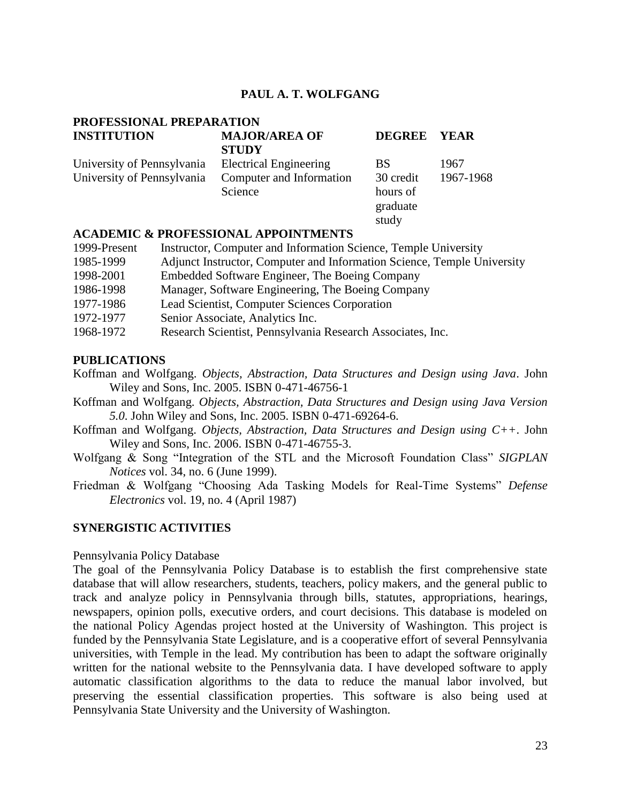## **PAUL A. T. WOLFGANG**

# **PROFESSIONAL PREPARATION**

| <b>INSTITUTION</b>         | <b>MAJOR/AREA OF</b><br><b>STUDY</b> | DEGREE YEAR |           |
|----------------------------|--------------------------------------|-------------|-----------|
| University of Pennsylvania | <b>Electrical Engineering</b>        | <b>BS</b>   | 1967      |
| University of Pennsylvania | Computer and Information             | 30 credit   | 1967-1968 |
|                            | Science                              | hours of    |           |
|                            |                                      | graduate    |           |
|                            |                                      | study       |           |

#### **ACADEMIC & PROFESSIONAL APPOINTMENTS**

| 1999-Present | Instructor, Computer and Information Science, Temple University         |
|--------------|-------------------------------------------------------------------------|
| 1985-1999    | Adjunct Instructor, Computer and Information Science, Temple University |
| 1998-2001    | Embedded Software Engineer, The Boeing Company                          |
| 1986-1998    | Manager, Software Engineering, The Boeing Company                       |
| 1977-1986    | Lead Scientist, Computer Sciences Corporation                           |
| 1972-1977    | Senior Associate, Analytics Inc.                                        |
| 1968-1972    | Research Scientist, Pennsylvania Research Associates, Inc.              |

## **PUBLICATIONS**

Koffman and Wolfgang. *Objects, Abstraction, Data Structures and Design using Java*. John Wiley and Sons, Inc. 2005. ISBN 0-471-46756-1

- Koffman and Wolfgang. *Objects, Abstraction, Data Structures and Design using Java Version 5.0*. John Wiley and Sons, Inc. 2005. ISBN 0-471-69264-6.
- Koffman and Wolfgang. *Objects, Abstraction, Data Structures and Design using C++*. John Wiley and Sons, Inc. 2006. ISBN 0-471-46755-3.
- Wolfgang & Song "Integration of the STL and the Microsoft Foundation Class" *SIGPLAN Notices* vol. 34, no. 6 (June 1999).
- Friedman & Wolfgang "Choosing Ada Tasking Models for Real-Time Systems" *Defense Electronics* vol. 19, no. 4 (April 1987)

## **SYNERGISTIC ACTIVITIES**

#### Pennsylvania Policy Database

The goal of the Pennsylvania Policy Database is to establish the first comprehensive state database that will allow researchers, students, teachers, policy makers, and the general public to track and analyze policy in Pennsylvania through bills, statutes, appropriations, hearings, newspapers, opinion polls, executive orders, and court decisions. This database is modeled on the national Policy Agendas project hosted at the University of Washington. This project is funded by the Pennsylvania State Legislature, and is a cooperative effort of several Pennsylvania universities, with Temple in the lead. My contribution has been to adapt the software originally written for the national website to the Pennsylvania data. I have developed software to apply automatic classification algorithms to the data to reduce the manual labor involved, but preserving the essential classification properties. This software is also being used at Pennsylvania State University and the University of Washington.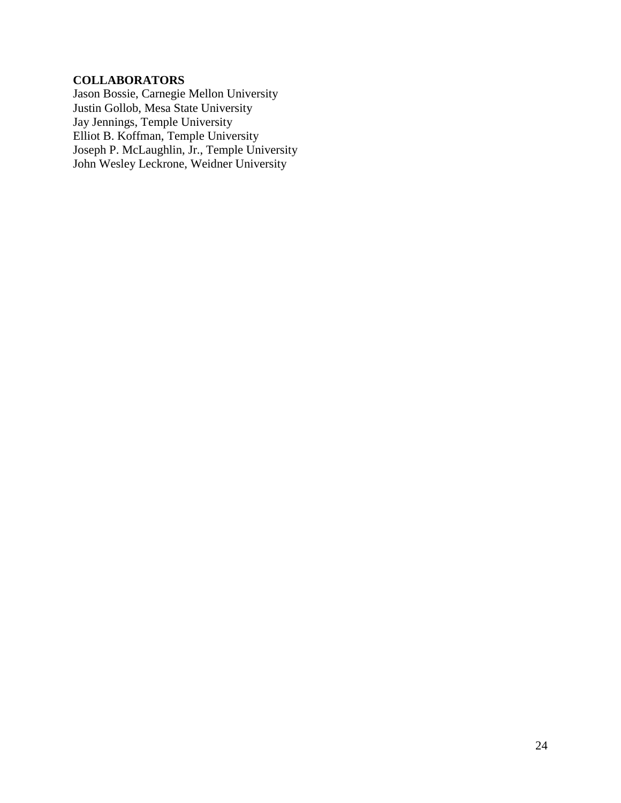# **COLLABORATORS**

Jason Bossie, Carnegie Mellon University Justin Gollob, Mesa State University Jay Jennings, Temple University Elliot B. Koffman, Temple University Joseph P. McLaughlin, Jr., Temple University John Wesley Leckrone, Weidner University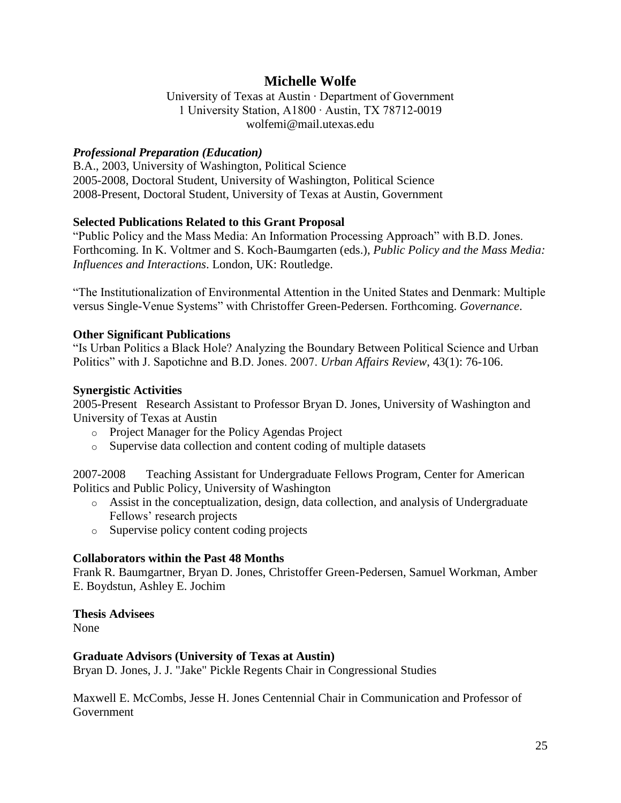# **Michelle Wolfe**

University of Texas at Austin ∙ Department of Government 1 University Station, A1800 ∙ Austin, TX 78712-0019 wolfemi@mail.utexas.edu

## *Professional Preparation (Education)*

B.A., 2003, University of Washington, Political Science 2005-2008, Doctoral Student, University of Washington, Political Science 2008-Present, Doctoral Student, University of Texas at Austin, Government

## **Selected Publications Related to this Grant Proposal**

"Public Policy and the Mass Media: An Information Processing Approach" with B.D. Jones. Forthcoming. In K. Voltmer and S. Koch-Baumgarten (eds.), *Public Policy and the Mass Media: Influences and Interactions*. London, UK: Routledge.

―The Institutionalization of Environmental Attention in the United States and Denmark: Multiple versus Single-Venue Systems" with Christoffer Green-Pedersen. Forthcoming. *Governance*.

## **Other Significant Publications**

―Is Urban Politics a Black Hole? Analyzing the Boundary Between Political Science and Urban Politics" with J. Sapotichne and B.D. Jones. 2007. *Urban Affairs Review*, 43(1): 76-106.

## **Synergistic Activities**

2005-Present Research Assistant to Professor Bryan D. Jones, University of Washington and University of Texas at Austin

- o Project Manager for the Policy Agendas Project
- o Supervise data collection and content coding of multiple datasets

2007-2008 Teaching Assistant for Undergraduate Fellows Program, Center for American Politics and Public Policy, University of Washington

- o Assist in the conceptualization, design, data collection, and analysis of Undergraduate Fellows' research projects
- o Supervise policy content coding projects

## **Collaborators within the Past 48 Months**

Frank R. Baumgartner, Bryan D. Jones, Christoffer Green-Pedersen, Samuel Workman, Amber E. Boydstun, Ashley E. Jochim

## **Thesis Advisees**

None

## **Graduate Advisors (University of Texas at Austin)**

Bryan D. Jones, J. J. "Jake" Pickle Regents Chair in Congressional Studies

Maxwell E. McCombs, Jesse H. Jones Centennial Chair in Communication and Professor of Government